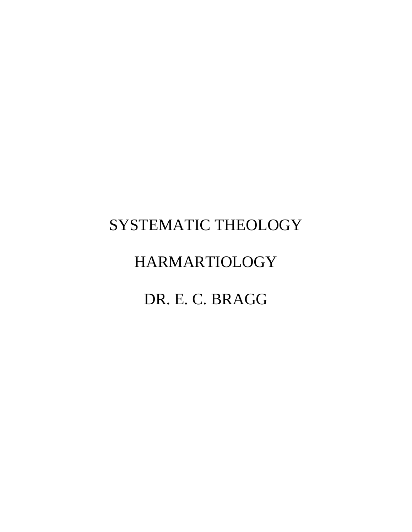# SYSTEMATIC THEOLOGY

# HARMARTIOLOGY

# DR. E. C. BRAGG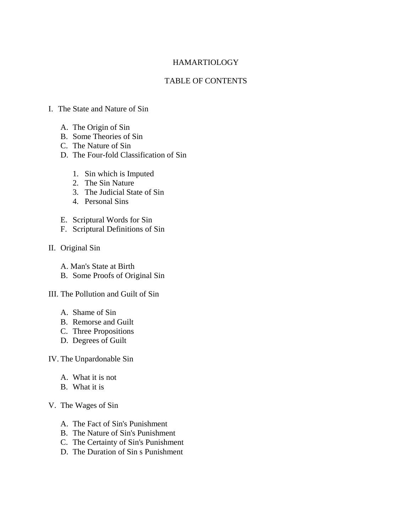## HAMARTIOLOGY

## TABLE OF CONTENTS

## I. The State and Nature of Sin

- A. The Origin of Sin
- B. Some Theories of Sin
- C. The Nature of Sin
- D. The Four-fold Classification of Sin
	- 1. Sin which is Imputed
	- 2. The Sin Nature
	- 3. The Judicial State of Sin
	- 4. Personal Sins
- E. Scriptural Words for Sin
- F. Scriptural Definitions of Sin
- II. Original Sin
	- A. Man's State at Birth
	- B. Some Proofs of Original Sin
- III. The Pollution and Guilt of Sin
	- A. Shame of Sin
	- B. Remorse and Guilt
	- C. Three Propositions
	- D. Degrees of Guilt

## IV. The Unpardonable Sin

- A. What it is not
- B. What it is

## V. The Wages of Sin

- A. The Fact of Sin's Punishment
- B. The Nature of Sin's Punishment
- C. The Certainty of Sin's Punishment
- D. The Duration of Sin s Punishment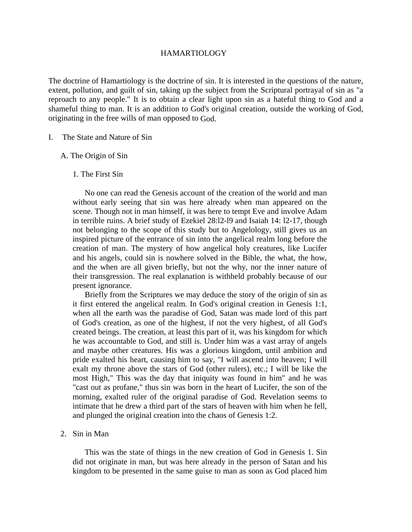## HAMARTIOLOGY

The doctrine of Hamartiology is the doctrine of sin. It is interested in the questions of the nature, extent, pollution, and guilt of sin, taking up the subject from the Scriptural portrayal of sin as "a reproach to any people." It is to obtain a clear light upon sin as a hateful thing to God and a shameful thing to man. It is an addition to God's original creation, outside the working of God, originating in the free wills of man opposed to God.

- I. The State and Nature of Sin
	- A. The Origin of Sin
		- 1. The First Sin

 No one can read the Genesis account of the creation of the world and man without early seeing that sin was here already when man appeared on the scene. Though not in man himself, it was here to tempt Eve and involve Adam in terrible ruins. A brief study of Ezekiel 28:l2-l9 and Isaiah 14: l2-17, though not belonging to the scope of this study but to Angelology, still gives us an inspired picture of the entrance of sin into the angelical realm long before the creation of man. The mystery of how angelical holy creatures, like Lucifer and his angels, could sin is nowhere solved in the Bible, the what, the how, and the when are all given briefly, but not the why, nor the inner nature of their transgression. The real explanation is withheld probably because of our present ignorance.

 Briefly from the Scriptures we may deduce the story of the origin of sin as it first entered the angelical realm. In God's original creation in Genesis 1:1, when all the earth was the paradise of God, Satan was made lord of this part of God's creation, as one of the highest, if not the very highest, of all God's created beings. The creation, at least this part of it, was his kingdom for which he was accountable to God, and still is. Under him was a vast array of angels and maybe other creatures. His was a glorious kingdom, until ambition and pride exalted his heart, causing him to say, "I will ascend into heaven; I will exalt my throne above the stars of God (other rulers), etc.; I will be like the most High," This was the day that iniquity was found in him" and he was "cast out as profane," thus sin was born in the heart of Lucifer, the son of the morning, exalted ruler of the original paradise of God. Revelation seems to intimate that he drew a third part of the stars of heaven with him when he fell, and plunged the original creation into the chaos of Genesis 1:2.

2. Sin in Man

 This was the state of things in the new creation of God in Genesis 1. Sin did not originate in man, but was here already in the person of Satan and his kingdom to be presented in the same guise to man as soon as God placed him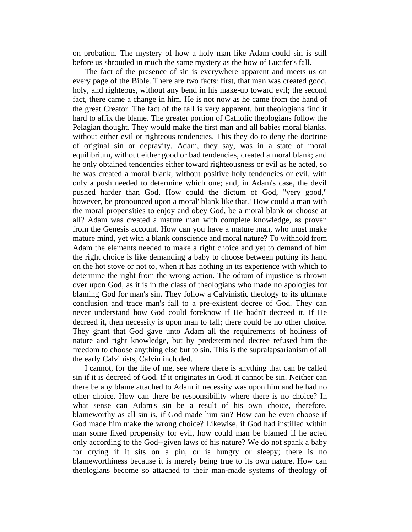on probation. The mystery of how a holy man like Adam could sin is still before us shrouded in much the same mystery as the how of Lucifer's fall.

 The fact of the presence of sin is everywhere apparent and meets us on every page of the Bible. There are two facts: first, that man was created good, holy, and righteous, without any bend in his make-up toward evil; the second fact, there came a change in him. He is not now as he came from the hand of the great Creator. The fact of the fall is very apparent, but theologians find it hard to affix the blame. The greater portion of Catholic theologians follow the Pelagian thought. They would make the first man and all babies moral blanks, without either evil or righteous tendencies. This they do to deny the doctrine of original sin or depravity. Adam, they say, was in a state of moral equilibrium, without either good or bad tendencies, created a moral blank; and he only obtained tendencies either toward righteousness or evil as he acted, so he was created a moral blank, without positive holy tendencies or evil, with only a push needed to determine which one; and, in Adam's case, the devil pushed harder than God. How could the dictum of God, "very good," however, be pronounced upon a moral' blank like that? How could a man with the moral propensities to enjoy and obey God, be a moral blank or choose at all? Adam was created a mature man with complete knowledge, as proven from the Genesis account. How can you have a mature man, who must make mature mind, yet with a blank conscience and moral nature? To withhold from Adam the elements needed to make a right choice and yet to demand of him the right choice is like demanding a baby to choose between putting its hand on the hot stove or not to, when it has nothing in its experience with which to determine the right from the wrong action. The odium of injustice is thrown over upon God, as it is in the class of theologians who made no apologies for blaming God for man's sin. They follow a Calvinistic theology to its ultimate conclusion and trace man's fall to a pre-existent decree of God. They can never understand how God could foreknow if He hadn't decreed it. If He decreed it, then necessity is upon man to fall; there could be no other choice. They grant that God gave unto Adam all the requirements of holiness of nature and right knowledge, but by predetermined decree refused him the freedom to choose anything else but to sin. This is the supralapsarianism of all the early Calvinists, Calvin included.

 I cannot, for the life of me, see where there is anything that can be called sin if it is decreed of God. If it originates in God, it cannot be sin. Neither can there be any blame attached to Adam if necessity was upon him and he had no other choice. How can there be responsibility where there is no choice? In what sense can Adam's sin be a result of his own choice, therefore, blameworthy as all sin is, if God made him sin? How can he even choose if God made him make the wrong choice? Likewise, if God had instilled within man some fixed propensity for evil, how could man be blamed if he acted only according to the God--given laws of his nature? We do not spank a baby for crying if it sits on a pin, or is hungry or sleepy; there is no blameworthiness because it is merely being true to its own nature. How can theologians become so attached to their man-made systems of theology of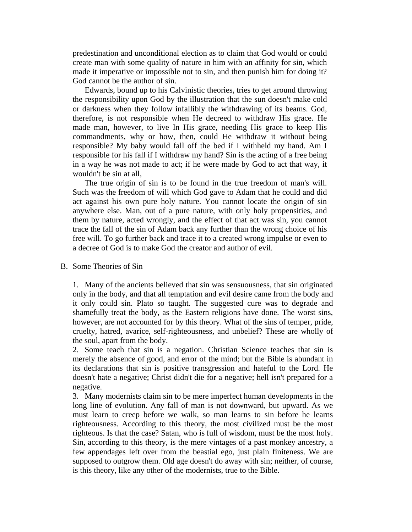predestination and unconditional election as to claim that God would or could create man with some quality of nature in him with an affinity for sin, which made it imperative or impossible not to sin, and then punish him for doing it? God cannot be the author of sin.

 Edwards, bound up to his Calvinistic theories, tries to get around throwing the responsibility upon God by the illustration that the sun doesn't make cold or darkness when they follow infallibly the withdrawing of its beams. God, therefore, is not responsible when He decreed to withdraw His grace. He made man, however, to live In His grace, needing His grace to keep His commandments, why or how, then, could He withdraw it without being responsible? My baby would fall off the bed if I withheld my hand. Am I responsible for his fall if I withdraw my hand? Sin is the acting of a free being in a way he was not made to act; if he were made by God to act that way, it wouldn't be sin at all,

 The true origin of sin is to be found in the true freedom of man's will. Such was the freedom of will which God gave to Adam that he could and did act against his own pure holy nature. You cannot locate the origin of sin anywhere else. Man, out of a pure nature, with only holy propensities, and them by nature, acted wrongly, and the effect of that act was sin, you cannot trace the fall of the sin of Adam back any further than the wrong choice of his free will. To go further back and trace it to a created wrong impulse or even to a decree of God is to make God the creator and author of evil.

B. Some Theories of Sin

1. Many of the ancients believed that sin was sensuousness, that sin originated only in the body, and that all temptation and evil desire came from the body and it only could sin. Plato so taught. The suggested cure was to degrade and shamefully treat the body, as the Eastern religions have done. The worst sins, however, are not accounted for by this theory. What of the sins of temper, pride, cruelty, hatred, avarice, self-righteousness, and unbelief? These are wholly of the soul, apart from the body.

2. Some teach that sin is a negation. Christian Science teaches that sin is merely the absence of good, and error of the mind; but the Bible is abundant in its declarations that sin is positive transgression and hateful to the Lord. He doesn't hate a negative; Christ didn't die for a negative; hell isn't prepared for a negative.

3. Many modernists claim sin to be mere imperfect human developments in the long line of evolution. Any fall of man is not downward, but upward. As we must learn to creep before we walk, so man learns to sin before he learns righteousness. According to this theory, the most civilized must be the most righteous. Is that the case? Satan, who is full of wisdom, must be the most holy. Sin, according to this theory, is the mere vintages of a past monkey ancestry, a few appendages left over from the beastial ego, just plain finiteness. We are supposed to outgrow them. Old age doesn't do away with sin; neither, of course, is this theory, like any other of the modernists, true to the Bible.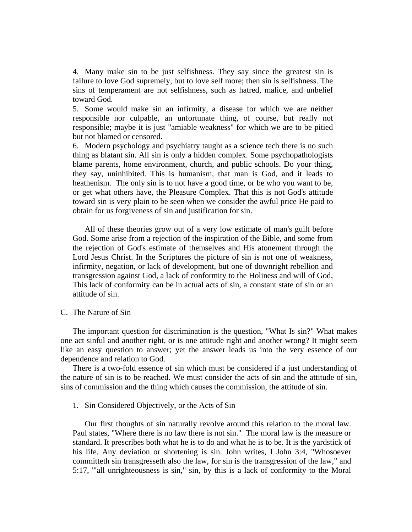4. Many make sin to be just selfishness. They say since the greatest sin is failure to love God supremely, but to love self more; then sin is selfishness. The sins of temperament are not selfishness, such as hatred, malice, and unbelief toward God.

5. Some would make sin an infirmity, a disease for which we are neither responsible nor culpable, an unfortunate thing, of course, but really not responsible; maybe it is just "amiable weakness" for which we are to be pitied but not blamed or censored.

6. Modern psychology and psychiatry taught as a science tech there is no such thing as blatant sin. All sin is only a hidden complex. Some psychopathologists blame parents, home environment, church, and public schools. Do your thing, they say, uninhibited. This is humanism, that man is God, and it leads to heathenism. The only sin is to not have a good time, or be who you want to be, or get what others have, the Pleasure Complex. That this is not God's attitude toward sin is very plain to be seen when we consider the awful price He paid to obtain for us forgiveness of sin and justification for sin.

 All of these theories grow out of a very low estimate of man's guilt before God. Some arise from a rejection of the inspiration of the Bible, and some from the rejection of God's estimate of themselves and His atonement through the Lord Jesus Christ. In the Scriptures the picture of sin is not one of weakness, infirmity, negation, or lack of development, but one of downright rebellion and transgression against God, a lack of conformity to the Holiness and will of God, This lack of conformity can be in actual acts of sin, a constant state of sin or an attitude of sin.

C. The Nature of Sin

 The important question for discrimination is the question, "What Is sin?" What makes one act sinful and another right, or is one attitude right and another wrong? It might seem like an easy question to answer; yet the answer leads us into the very essence of our dependence and relation to God.

 There is a two-fold essence of sin which must be considered if a just understanding of the nature of sin is to be reached. We must consider the acts of sin and the attitude of sin, sins of commission and the thing which causes the commission, the attitude of sin.

1. Sin Considered Objectively, or the Acts of Sin

 Our first thoughts of sin naturally revolve around this relation to the moral law. Paul states, "Where there is no law there is not sin." The moral law is the measure or standard. It prescribes both what he is to do and what he is to be. It is the yardstick of his life. Any deviation or shortening is sin. John writes, I John 3:4, "Whosoever committeth sin transgresseth also the law, for sin is the transgression of the law," and 5:17, '"all unrighteousness is sin," sin, by this is a lack of conformity to the Moral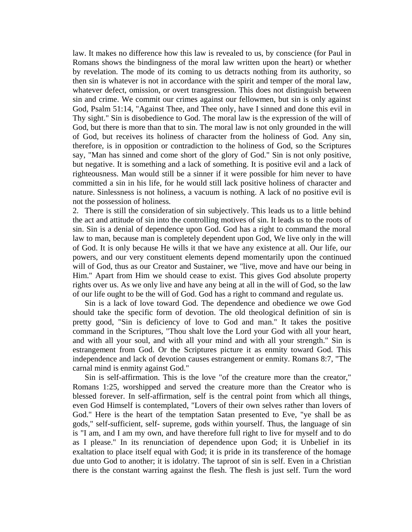law. It makes no difference how this law is revealed to us, by conscience (for Paul in Romans shows the bindingness of the moral law written upon the heart) or whether by revelation. The mode of its coming to us detracts nothing from its authority, so then sin is whatever is not in accordance with the spirit and temper of the moral law, whatever defect, omission, or overt transgression. This does not distinguish between sin and crime. We commit our crimes against our fellowmen, but sin is only against God, Psalm 51:14, "Against Thee, and Thee only, have I sinned and done this evil in Thy sight." Sin is disobedience to God. The moral law is the expression of the will of God, but there is more than that to sin. The moral law is not only grounded in the will of God, but receives its holiness of character from the holiness of God. Any sin, therefore, is in opposition or contradiction to the holiness of God, so the Scriptures say, "Man has sinned and come short of the glory of God." Sin is not only positive, but negative. It is something and a lack of something. It is positive evil and a lack of righteousness. Man would still be a sinner if it were possible for him never to have committed a sin in his life, for he would still lack positive holiness of character and nature. Sinlessness is not holiness, a vacuum is nothing. A lack of no positive evil is not the possession of holiness.

2. There is still the consideration of sin subjectively. This leads us to a little behind the act and attitude of sin into the controlling motives of sin. It leads us to the roots of sin. Sin is a denial of dependence upon God. God has a right to command the moral law to man, because man is completely dependent upon God, We live only in the will of God. It is only because He wills it that we have any existence at all. Our life, our powers, and our very constituent elements depend momentarily upon the continued will of God, thus as our Creator and Sustainer, we "live, move and have our being in Him." Apart from Him we should cease to exist. This gives God absolute property rights over us. As we only live and have any being at all in the will of God, so the law of our life ought to be the will of God. God has a right to command and regulate us.

 Sin is a lack of love toward God. The dependence and obedience we owe God should take the specific form of devotion. The old theological definition of sin is pretty good, "Sin is deficiency of love to God and man." It takes the positive command in the Scriptures, "Thou shalt love the Lord your God with all your heart, and with all your soul, and with all your mind and with all your strength." Sin is estrangement from God. Or the Scriptures picture it as enmity toward God. This independence and lack of devotion causes estrangement or enmity. Romans 8:7, "The carnal mind is enmity against God."

 Sin is self-affirmation. This is the love "of the creature more than the creator," Romans 1:25, worshipped and served the creature more than the Creator who is blessed forever. In self-affirmation, self is the central point from which all things, even God Himself is contemplated, "Lovers of their own selves rather than lovers of God." Here is the heart of the temptation Satan presented to Eve, "ye shall be as gods," self-sufficient, self- supreme, gods within yourself. Thus, the language of sin is "I am, and I am my own, and have therefore full right to live for myself and to do as I please." In its renunciation of dependence upon God; it is Unbelief in its exaltation to place itself equal with God; it is pride in its transference of the homage due unto God to another; it is idolatry. The taproot of sin is self. Even in a Christian there is the constant warring against the flesh. The flesh is just self. Turn the word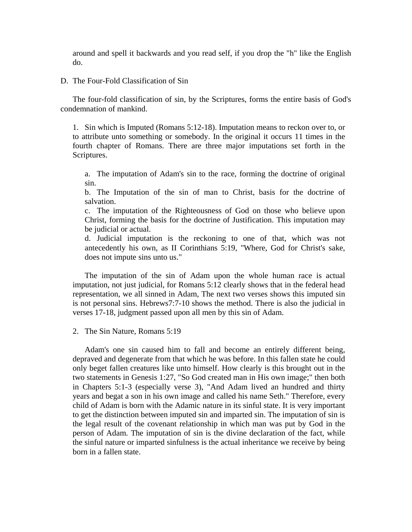around and spell it backwards and you read self, if you drop the "h" like the English do.

D. The Four-Fold Classification of Sin

 The four-fold classification of sin, by the Scriptures, forms the entire basis of God's condemnation of mankind.

1. Sin which is Imputed (Romans 5:12-18). Imputation means to reckon over to, or to attribute unto something or somebody. In the original it occurs 11 times in the fourth chapter of Romans. There are three major imputations set forth in the Scriptures.

a. The imputation of Adam's sin to the race, forming the doctrine of original sin.

b. The Imputation of the sin of man to Christ, basis for the doctrine of salvation.

c. The imputation of the Righteousness of God on those who believe upon Christ, forming the basis for the doctrine of Justification. This imputation may be judicial or actual.

d. Judicial imputation is the reckoning to one of that, which was not antecedently his own, as II Corinthians 5:19, "Where, God for Christ's sake, does not impute sins unto us."

 The imputation of the sin of Adam upon the whole human race is actual imputation, not just judicial, for Romans 5:12 clearly shows that in the federal head representation, we all sinned in Adam, The next two verses shows this imputed sin is not personal sins. Hebrews7:7-10 shows the method. There is also the judicial in verses 17-18, judgment passed upon all men by this sin of Adam.

2. The Sin Nature, Romans 5:19

 Adam's one sin caused him to fall and become an entirely different being, depraved and degenerate from that which he was before. In this fallen state he could only beget fallen creatures like unto himself. How clearly is this brought out in the two statements in Genesis 1:27, "So God created man in His own image;" then both in Chapters 5:1-3 (especially verse 3), "And Adam lived an hundred and thirty years and begat a son in his own image and called his name Seth." Therefore, every child of Adam is born with the Adamic nature in its sinful state. It is very important to get the distinction between imputed sin and imparted sin. The imputation of sin is the legal result of the covenant relationship in which man was put by God in the person of Adam. The imputation of sin is the divine declaration of the fact, while the sinful nature or imparted sinfulness is the actual inheritance we receive by being born in a fallen state.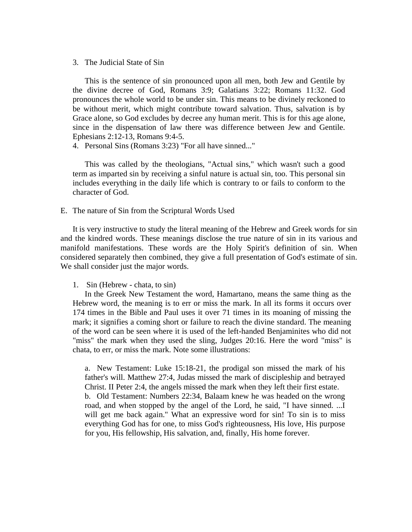3. The Judicial State of Sin

 This is the sentence of sin pronounced upon all men, both Jew and Gentile by the divine decree of God, Romans 3:9; Galatians 3:22; Romans 11:32. God pronounces the whole world to be under sin. This means to be divinely reckoned to be without merit, which might contribute toward salvation. Thus, salvation is by Grace alone, so God excludes by decree any human merit. This is for this age alone, since in the dispensation of law there was difference between Jew and Gentile. Ephesians 2:12-13, Romans 9:4-5.

4. Personal Sins (Romans 3:23) "For all have sinned..."

 This was called by the theologians, "Actual sins," which wasn't such a good term as imparted sin by receiving a sinful nature is actual sin, too. This personal sin includes everything in the daily life which is contrary to or fails to conform to the character of God.

E. The nature of Sin from the Scriptural Words Used

 It is very instructive to study the literal meaning of the Hebrew and Greek words for sin and the kindred words. These meanings disclose the true nature of sin in its various and manifold manifestations. These words are the Holy Spirit's definition of sin. When considered separately then combined, they give a full presentation of God's estimate of sin. We shall consider just the major words.

1. Sin (Hebrew - chata, to sin)

 In the Greek New Testament the word, Hamartano, means the same thing as the Hebrew word, the meaning is to err or miss the mark. In all its forms it occurs over 174 times in the Bible and Paul uses it over 71 times in its moaning of missing the mark; it signifies a coming short or failure to reach the divine standard. The meaning of the word can be seen where it is used of the left-handed Benjaminites who did not "miss" the mark when they used the sling, Judges 20:16. Here the word "miss" is chata, to err, or miss the mark. Note some illustrations:

a. New Testament: Luke 15:18-21, the prodigal son missed the mark of his father's will. Matthew 27:4, Judas missed the mark of discipleship and betrayed Christ. II Peter 2:4, the angels missed the mark when they left their first estate. b. Old Testament: Numbers 22:34, Balaam knew he was headed on the wrong road, and when stopped by the angel of the Lord, he said, "I have sinned. ...I will get me back again." What an expressive word for sin! To sin is to miss everything God has for one, to miss God's righteousness, His love, His purpose for you, His fellowship, His salvation, and, finally, His home forever.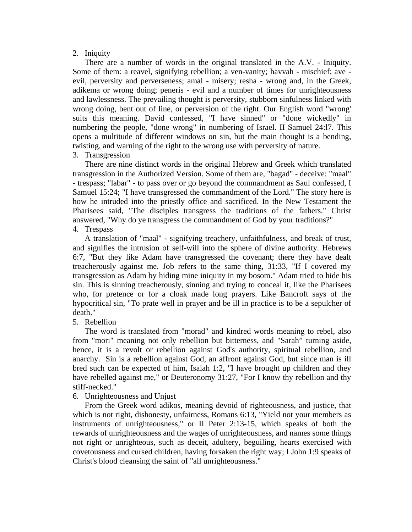## 2. Iniquity

 There are a number of words in the original translated in the A.V. - Iniquity. Some of them: a reavel, signifying rebellion; a ven-vanity; havvah - mischief; ave evil, perversity and perverseness; amal - misery; resha - wrong and, in the Greek, adikema or wrong doing; peneris - evil and a number of times for unrighteousness and lawlessness. The prevailing thought is perversity, stubborn sinfulness linked with wrong doing, bent out of line, or perversion of the right. Our English word "wrong' suits this meaning. David confessed, "I have sinned" or "done wickedly" in numbering the people, "done wrong" in numbering of Israel. II Samuel 24:l7. This opens a multitude of different windows on sin, but the main thought is a bending, twisting, and warning of the right to the wrong use with perversity of nature.

## 3. Transgression

 There are nine distinct words in the original Hebrew and Greek which translated transgression in the Authorized Version. Some of them are, "bagad" - deceive; "maal" - trespass; "labar" - to pass over or go beyond the commandment as Saul confessed, I Samuel 15:24; "I have transgressed the commandment of the Lord." The story here is how he intruded into the priestly office and sacrificed. In the New Testament the Pharisees said, "The disciples transgress the traditions of the fathers." Christ answered, "Why do ye transgress the commandment of God by your traditions?" 4. Trespass

 A translation of "maal" - signifying treachery, unfaithfulness, and break of trust, and signifies the intrusion of self-will into the sphere of divine authority. Hebrews 6:7, "But they like Adam have transgressed the covenant; there they have dealt treacherously against me. Job refers to the same thing, 31:33, "If I covered my transgression as Adam by hiding mine iniquity in my bosom." Adam tried to hide his sin. This is sinning treacherously, sinning and trying to conceal it, like the Pharisees who, for pretence or for a cloak made long prayers. Like Bancroft says of the hypocritical sin, "To prate well in prayer and be ill in practice is to be a sepulcher of death."

## 5. Rebellion

 The word is translated from "morad" and kindred words meaning to rebel, also from "mori" meaning not only rebellion but bitterness, and "Sarah" turning aside, hence, it is a revolt or rebellion against God's authority, spiritual rebellion, and anarchy. Sin is a rebellion against God, an affront against God, but since man is ill bred such can be expected of him, Isaiah 1:2, "I have brought up children and they have rebelled against me," or Deuteronomy 31:27, "For I know thy rebellion and thy stiff-necked."

## 6. Unrighteousness and Unjust

 From the Greek word adikos, meaning devoid of righteousness, and justice, that which is not right, dishonesty, unfairness, Romans 6:13, "Yield not your members as instruments of unrighteousness," or II Peter 2:13-15, which speaks of both the rewards of unrighteousness and the wages of unrighteousness, and names some things not right or unrighteous, such as deceit, adultery, beguiling, hearts exercised with covetousness and cursed children, having forsaken the right way; I John 1:9 speaks of Christ's blood cleansing the saint of "all unrighteousness."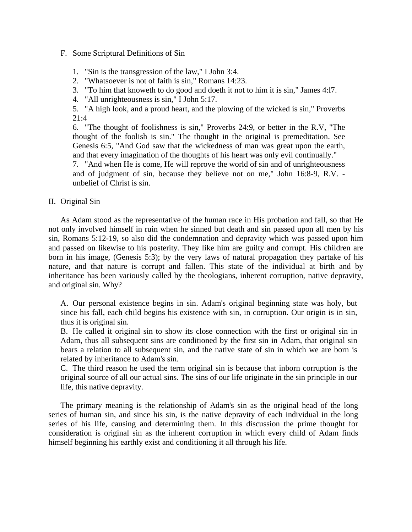## F. Some Scriptural Definitions of Sin

## 1. "Sin is the transgression of the law," I John 3:4.

2. "Whatsoever is not of faith is sin," Romans 14:23.

3. "To him that knoweth to do good and doeth it not to him it is sin," James 4:l7.

4. "All unrighteousness is sin," I John 5:17.

5. "A high look, and a proud heart, and the plowing of the wicked is sin," Proverbs 21:4

6. "The thought of foolishness is sin," Proverbs 24:9, or better in the R.V, "The thought of the foolish is sin." The thought in the original is premeditation. See Genesis 6:5, "And God saw that the wickedness of man was great upon the earth, and that every imagination of the thoughts of his heart was only evil continually."

7. "And when He is come, He will reprove the world of sin and of unrighteousness and of judgment of sin, because they believe not on me," John 16:8-9, R.V. unbelief of Christ is sin.

## II. Original Sin

 As Adam stood as the representative of the human race in His probation and fall, so that He not only involved himself in ruin when he sinned but death and sin passed upon all men by his sin, Romans 5:12-19, so also did the condemnation and depravity which was passed upon him and passed on likewise to his posterity. They like him are guilty and corrupt. His children are born in his image, (Genesis 5:3); by the very laws of natural propagation they partake of his nature, and that nature is corrupt and fallen. This state of the individual at birth and by inheritance has been variously called by the theologians, inherent corruption, native depravity, and original sin. Why?

A. Our personal existence begins in sin. Adam's original beginning state was holy, but since his fall, each child begins his existence with sin, in corruption. Our origin is in sin, thus it is original sin.

B. He called it original sin to show its close connection with the first or original sin in Adam, thus all subsequent sins are conditioned by the first sin in Adam, that original sin bears a relation to all subsequent sin, and the native state of sin in which we are born is related by inheritance to Adam's sin.

C. The third reason he used the term original sin is because that inborn corruption is the original source of all our actual sins. The sins of our life originate in the sin principle in our life, this native depravity.

 The primary meaning is the relationship of Adam's sin as the original head of the long series of human sin, and since his sin, is the native depravity of each individual in the long series of his life, causing and determining them. In this discussion the prime thought for consideration is original sin as the inherent corruption in which every child of Adam finds himself beginning his earthly exist and conditioning it all through his life.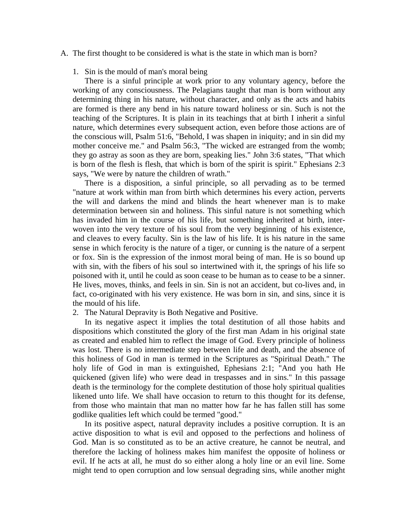- A. The first thought to be considered is what is the state in which man is born?
	- 1. Sin is the mould of man's moral being

 There is a sinful principle at work prior to any voluntary agency, before the working of any consciousness. The Pelagians taught that man is born without any determining thing in his nature, without character, and only as the acts and habits are formed is there any bend in his nature toward holiness or sin. Such is not the teaching of the Scriptures. It is plain in its teachings that at birth I inherit a sinful nature, which determines every subsequent action, even before those actions are of the conscious will, Psalm 51:6, "Behold, I was shapen in iniquity; and in sin did my mother conceive me." and Psalm 56:3, "The wicked are estranged from the womb; they go astray as soon as they are born, speaking lies." John 3:6 states, "That which is born of the flesh is flesh, that which is born of the spirit is spirit." Ephesians 2:3 says, "We were by nature the children of wrath."

 There is a disposition, a sinful principle, so all pervading as to be termed "nature at work within man from birth which determines his every action, perverts the will and darkens the mind and blinds the heart whenever man is to make determination between sin and holiness. This sinful nature is not something which has invaded him in the course of his life, but something inherited at birth, interwoven into the very texture of his soul from the very beginning of his existence, and cleaves to every faculty. Sin is the law of his life. It is his nature in the same sense in which ferocity is the nature of a tiger, or cunning is the nature of a serpent or fox. Sin is the expression of the inmost moral being of man. He is so bound up with sin, with the fibers of his soul so intertwined with it, the springs of his life so poisoned with it, until he could as soon cease to be human as to cease to be a sinner. He lives, moves, thinks, and feels in sin. Sin is not an accident, but co-lives and, in fact, co-originated with his very existence. He was born in sin, and sins, since it is the mould of his life.

2. The Natural Depravity is Both Negative and Positive.

 In its negative aspect it implies the total destitution of all those habits and dispositions which constituted the glory of the first man Adam in his original state as created and enabled him to reflect the image of God. Every principle of holiness was lost. There is no intermediate step between life and death, and the absence of this holiness of God in man is termed in the Scriptures as "Spiritual Death." The holy life of God in man is extinguished, Ephesians 2:1; "And you hath He quickened (given life) who were dead in trespasses and in sins." In this passage death is the terminology for the complete destitution of those holy spiritual qualities likened unto life. We shall have occasion to return to this thought for its defense, from those who maintain that man no matter how far he has fallen still has some godlike qualities left which could be termed "good."

 In its positive aspect, natural depravity includes a positive corruption. It is an active disposition to what is evil and opposed to the perfections and holiness of God. Man is so constituted as to be an active creature, he cannot be neutral, and therefore the lacking of holiness makes him manifest the opposite of holiness or evil. If he acts at all, he must do so either along a holy line or an evil line. Some might tend to open corruption and low sensual degrading sins, while another might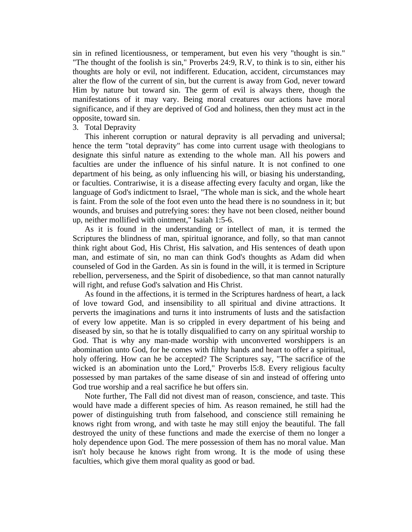sin in refined licentiousness, or temperament, but even his very "thought is sin." "The thought of the foolish is sin," Proverbs 24:9, R.V, to think is to sin, either his thoughts are holy or evil, not indifferent. Education, accident, circumstances may alter the flow of the current of sin, but the current is away from God, never toward Him by nature but toward sin. The germ of evil is always there, though the manifestations of it may vary. Being moral creatures our actions have moral significance, and if they are deprived of God and holiness, then they must act in the opposite, toward sin.

## 3. Total Depravity

 This inherent corruption or natural depravity is all pervading and universal; hence the term "total depravity" has come into current usage with theologians to designate this sinful nature as extending to the whole man. All his powers and faculties are under the influence of his sinful nature. It is not confined to one department of his being, as only influencing his will, or biasing his understanding, or faculties. Contrariwise, it is a disease affecting every faculty and organ, like the language of God's indictment to Israel, "The whole man is sick, and the whole heart is faint. From the sole of the foot even unto the head there is no soundness in it; but wounds, and bruises and putrefying sores: they have not been closed, neither bound up, neither mollified with ointment," Isaiah 1:5-6.

 As it is found in the understanding or intellect of man, it is termed the Scriptures the blindness of man, spiritual ignorance, and folly, so that man cannot think right about God, His Christ, His salvation, and His sentences of death upon man, and estimate of sin, no man can think God's thoughts as Adam did when counseled of God in the Garden. As sin is found in the will, it is termed in Scripture rebellion, perverseness, and the Spirit of disobedience, so that man cannot naturally will right, and refuse God's salvation and His Christ.

 As found in the affections, it is termed in the Scriptures hardness of heart, a lack of love toward God, and insensibility to all spiritual and divine attractions. It perverts the imaginations and turns it into instruments of lusts and the satisfaction of every low appetite. Man is so crippled in every department of his being and diseased by sin, so that he is totally disqualified to carry on any spiritual worship to God. That is why any man-made worship with unconverted worshippers is an abomination unto God, for he comes with filthy hands and heart to offer a spiritual, holy offering. How can he be accepted? The Scriptures say, "The sacrifice of the wicked is an abomination unto the Lord," Proverbs l5:8. Every religious faculty possessed by man partakes of the same disease of sin and instead of offering unto God true worship and a real sacrifice he but offers sin.

 Note further, The Fall did not divest man of reason, conscience, and taste. This would have made a different species of him. As reason remained, he still had the power of distinguishing truth from falsehood, and conscience still remaining he knows right from wrong, and with taste he may still enjoy the beautiful. The fall destroyed the unity of these functions and made the exercise of them no longer a holy dependence upon God. The mere possession of them has no moral value. Man isn't holy because he knows right from wrong. It is the mode of using these faculties, which give them moral quality as good or bad.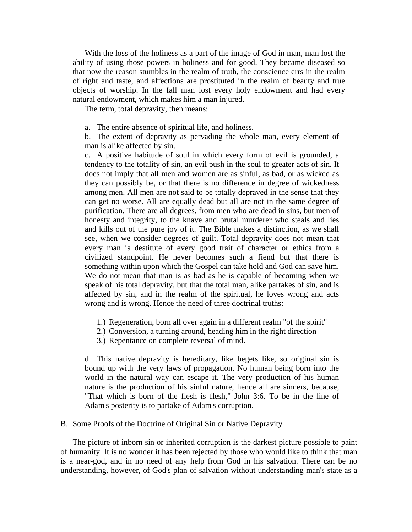With the loss of the holiness as a part of the image of God in man, man lost the ability of using those powers in holiness and for good. They became diseased so that now the reason stumbles in the realm of truth, the conscience errs in the realm of right and taste, and affections are prostituted in the realm of beauty and true objects of worship. In the fall man lost every holy endowment and had every natural endowment, which makes him a man injured.

The term, total depravity, then means:

a. The entire absence of spiritual life, and holiness.

b. The extent of depravity as pervading the whole man, every element of man is alike affected by sin.

c. A positive habitude of soul in which every form of evil is grounded, a tendency to the totality of sin, an evil push in the soul to greater acts of sin. It does not imply that all men and women are as sinful, as bad, or as wicked as they can possibly be, or that there is no difference in degree of wickedness among men. All men are not said to be totally depraved in the sense that they can get no worse. All are equally dead but all are not in the same degree of purification. There are all degrees, from men who are dead in sins, but men of honesty and integrity, to the knave and brutal murderer who steals and lies and kills out of the pure joy of it. The Bible makes a distinction, as we shall see, when we consider degrees of guilt. Total depravity does not mean that every man is destitute of every good trait of character or ethics from a civilized standpoint. He never becomes such a fiend but that there is something within upon which the Gospel can take hold and God can save him. We do not mean that man is as bad as he is capable of becoming when we speak of his total depravity, but that the total man, alike partakes of sin, and is affected by sin, and in the realm of the spiritual, he loves wrong and acts wrong and is wrong. Hence the need of three doctrinal truths:

- 1.) Regeneration, born all over again in a different realm "of the spirit"
- 2.) Conversion, a turning around, heading him in the right direction
- 3.) Repentance on complete reversal of mind.

d. This native depravity is hereditary, like begets like, so original sin is bound up with the very laws of propagation. No human being born into the world in the natural way can escape it. The very production of his human nature is the production of his sinful nature, hence all are sinners, because, "That which is born of the flesh is flesh," John 3:6. To be in the line of Adam's posterity is to partake of Adam's corruption.

#### B. Some Proofs of the Doctrine of Original Sin or Native Depravity

 The picture of inborn sin or inherited corruption is the darkest picture possible to paint of humanity. It is no wonder it has been rejected by those who would like to think that man is a near-god, and in no need of any help from God in his salvation. There can be no understanding, however, of God's plan of salvation without understanding man's state as a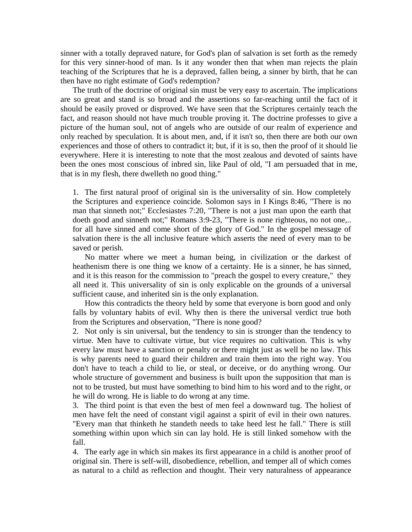sinner with a totally depraved nature, for God's plan of salvation is set forth as the remedy for this very sinner-hood of man. Is it any wonder then that when man rejects the plain teaching of the Scriptures that he is a depraved, fallen being, a sinner by birth, that he can then have no right estimate of God's redemption?

 The truth of the doctrine of original sin must be very easy to ascertain. The implications are so great and stand is so broad and the assertions so far-reaching until the fact of it should be easily proved or disproved. We have seen that the Scriptures certainly teach the fact, and reason should not have much trouble proving it. The doctrine professes to give a picture of the human soul, not of angels who are outside of our realm of experience and only reached by speculation. It is about men, and, if it isn't so, then there are both our own experiences and those of others to contradict it; but, if it is so, then the proof of it should lie everywhere. Here it is interesting to note that the most zealous and devoted of saints have been the ones most conscious of inbred sin, like Paul of old, "I am persuaded that in me, that is in my flesh, there dwelleth no good thing."

1. The first natural proof of original sin is the universality of sin. How completely the Scriptures and experience coincide. Solomon says in I Kings 8:46, "There is no man that sinneth not;" Ecclesiastes 7:20, "There is not a just man upon the earth that doeth good and sinneth not;" Romans 3:9-23, "There is none righteous, no not one,.. for all have sinned and come short of the glory of God." In the gospel message of salvation there is the all inclusive feature which asserts the need of every man to be saved or perish.

 No matter where we meet a human being, in civilization or the darkest of heathenism there is one thing we know of a certainty. He is a sinner, he has sinned, and it is this reason for the commission to "preach the gospel to every creature," they all need it. This universality of sin is only explicable on the grounds of a universal sufficient cause, and inherited sin is the only explanation.

 How this contradicts the theory held by some that everyone is born good and only falls by voluntary habits of evil. Why then is there the universal verdict true both from the Scriptures and observation, "There is none good?

2. Not only is sin universal, but the tendency to sin is stronger than the tendency to virtue. Men have to cultivate virtue, but vice requires no cultivation. This is why every law must have a sanction or penalty or there might just as well be no law. This is why parents need to guard their children and train them into the right way. You don't have to teach a child to lie, or steal, or deceive, or do anything wrong. Our whole structure of government and business is built upon the supposition that man is not to be trusted, but must have something to bind him to his word and to the right, or he will do wrong. He is liable to do wrong at any time.

3. The third point is that even the best of men feel a downward tug. The holiest of men have felt the need of constant vigil against a spirit of evil in their own natures. "Every man that thinketh he standeth needs to take heed lest he fall." There is still something within upon which sin can lay hold. He is still linked somehow with the fall.

4. The early age in which sin makes its first appearance in a child is another proof of original sin. There is self-will, disobedience, rebellion, and temper all of which comes as natural to a child as reflection and thought. Their very naturalness of appearance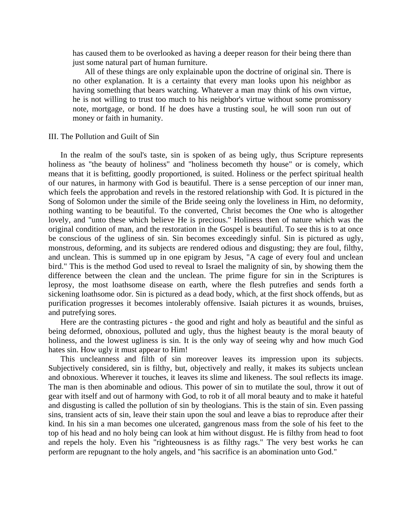has caused them to be overlooked as having a deeper reason for their being there than just some natural part of human furniture.

 All of these things are only explainable upon the doctrine of original sin. There is no other explanation. It is a certainty that every man looks upon his neighbor as having something that bears watching. Whatever a man may think of his own virtue, he is not willing to trust too much to his neighbor's virtue without some promissory note, mortgage, or bond. If he does have a trusting soul, he will soon run out of money or faith in humanity.

### III. The Pollution and Guilt of Sin

 In the realm of the soul's taste, sin is spoken of as being ugly, thus Scripture represents holiness as "the beauty of holiness" and "holiness becometh thy house" or is comely, which means that it is befitting, goodly proportioned, is suited. Holiness or the perfect spiritual health of our natures, in harmony with God is beautiful. There is a sense perception of our inner man, which feels the approbation and revels in the restored relationship with God. It is pictured in the Song of Solomon under the simile of the Bride seeing only the loveliness in Him, no deformity, nothing wanting to be beautiful. To the converted, Christ becomes the One who is altogether lovely, and "unto these which believe He is precious." Holiness then of nature which was the original condition of man, and the restoration in the Gospel is beautiful. To see this is to at once be conscious of the ugliness of sin. Sin becomes exceedingly sinful. Sin is pictured as ugly, monstrous, deforming, and its subjects are rendered odious and disgusting; they are foul, filthy, and unclean. This is summed up in one epigram by Jesus, "A cage of every foul and unclean bird." This is the method God used to reveal to Israel the malignity of sin, by showing them the difference between the clean and the unclean. The prime figure for sin in the Scriptures is leprosy, the most loathsome disease on earth, where the flesh putrefies and sends forth a sickening loathsome odor. Sin is pictured as a dead body, which, at the first shock offends, but as purification progresses it becomes intolerably offensive. Isaiah pictures it as wounds, bruises, and putrefying sores.

 Here are the contrasting pictures - the good and right and holy as beautiful and the sinful as being deformed, obnoxious, polluted and ugly, thus the highest beauty is the moral beauty of holiness, and the lowest ugliness is sin. It is the only way of seeing why and how much God hates sin. How ugly it must appear to Him!

 This uncleanness and filth of sin moreover leaves its impression upon its subjects. Subjectively considered, sin is filthy, but, objectively and really, it makes its subjects unclean and obnoxious. Wherever it touches, it leaves its slime and likeness. The soul reflects its image. The man is then abominable and odious. This power of sin to mutilate the soul, throw it out of gear with itself and out of harmony with God, to rob it of all moral beauty and to make it hateful and disgusting is called the pollution of sin by theologians. This is the stain of sin. Even passing sins, transient acts of sin, leave their stain upon the soul and leave a bias to reproduce after their kind. In his sin a man becomes one ulcerated, gangrenous mass from the sole of his feet to the top of his head and no holy being can look at him without disgust. He is filthy from head to foot and repels the holy. Even his "righteousness is as filthy rags." The very best works he can perform are repugnant to the holy angels, and "his sacrifice is an abomination unto God."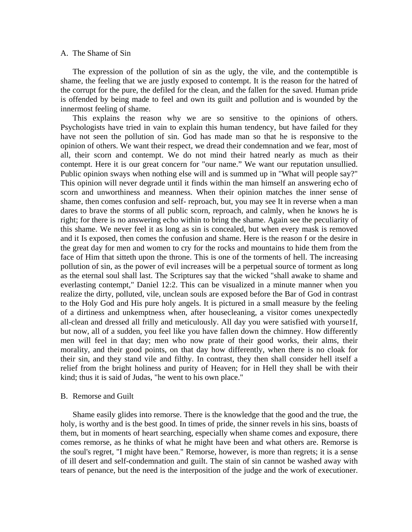#### A. The Shame of Sin

 The expression of the pollution of sin as the ugly, the vile, and the contemptible is shame, the feeling that we are justly exposed to contempt. It is the reason for the hatred of the corrupt for the pure, the defiled for the clean, and the fallen for the saved. Human pride is offended by being made to feel and own its guilt and pollution and is wounded by the innermost feeling of shame.

 This explains the reason why we are so sensitive to the opinions of others. Psychologists have tried in vain to explain this human tendency, but have failed for they have not seen the pollution of sin. God has made man so that he is responsive to the opinion of others. We want their respect, we dread their condemnation and we fear, most of all, their scorn and contempt. We do not mind their hatred nearly as much as their contempt. Here it is our great concern for "our name." We want our reputation unsullied. Public opinion sways when nothing else will and is summed up in "What will people say?" This opinion will never degrade until it finds within the man himself an answering echo of scorn and unworthiness and meanness. When their opinion matches the inner sense of shame, then comes confusion and self- reproach, but, you may see It in reverse when a man dares to brave the storms of all public scorn, reproach, and calmly, when he knows he is right; for there is no answering echo within to bring the shame. Again see the peculiarity of this shame. We never feel it as long as sin is concealed, but when every mask is removed and it Is exposed, then comes the confusion and shame. Here is the reason f or the desire in the great day for men and women to cry for the rocks and mountains to hide them from the face of Him that sitteth upon the throne. This is one of the torments of hell. The increasing pollution of sin, as the power of evil increases will be a perpetual source of torment as long as the eternal soul shall last. The Scriptures say that the wicked "shall awake to shame and everlasting contempt," Daniel 12:2. This can be visualized in a minute manner when you realize the dirty, polluted, vile, unclean souls are exposed before the Bar of God in contrast to the Holy God and His pure holy angels. It is pictured in a small measure by the feeling of a dirtiness and unkemptness when, after housecleaning, a visitor comes unexpectedly all-clean and dressed all frilly and meticulously. All day you were satisfied with yourse1f, but now, all of a sudden, you feel like you have fallen down the chimney. How differently men will feel in that day; men who now prate of their good works, their alms, their morality, and their good points, on that day how differently, when there is no cloak for their sin, and they stand vile and filthy. In contrast, they then shall consider hell itself a relief from the bright holiness and purity of Heaven; for in Hell they shall be with their kind; thus it is said of Judas, "he went to his own place."

#### B. Remorse and Guilt

 Shame easily glides into remorse. There is the knowledge that the good and the true, the holy, is worthy and is the best good. In times of pride, the sinner revels in his sins, boasts of them, but in moments of heart searching, especially when shame comes and exposure, there comes remorse, as he thinks of what he might have been and what others are. Remorse is the soul's regret, "I might have been." Remorse, however, is more than regrets; it is a sense of ill desert and self-condemnation and guilt. The stain of sin cannot be washed away with tears of penance, but the need is the interposition of the judge and the work of executioner.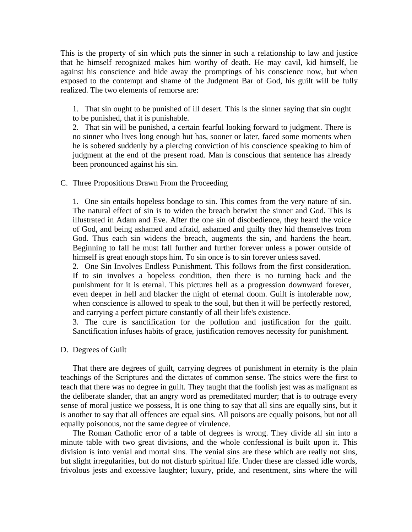This is the property of sin which puts the sinner in such a relationship to law and justice that he himself recognized makes him worthy of death. He may cavil, kid himself, lie against his conscience and hide away the promptings of his conscience now, but when exposed to the contempt and shame of the Judgment Bar of God, his guilt will be fully realized. The two elements of remorse are:

1. That sin ought to be punished of ill desert. This is the sinner saying that sin ought to be punished, that it is punishable.

2. That sin will be punished, a certain fearful looking forward to judgment. There is no sinner who lives long enough but has, sooner or later, faced some moments when he is sobered suddenly by a piercing conviction of his conscience speaking to him of judgment at the end of the present road. Man is conscious that sentence has already been pronounced against his sin.

## C. Three Propositions Drawn From the Proceeding

1. One sin entails hopeless bondage to sin. This comes from the very nature of sin. The natural effect of sin is to widen the breach betwixt the sinner and God. This is illustrated in Adam and Eve. After the one sin of disobedience, they heard the voice of God, and being ashamed and afraid, ashamed and guilty they hid themselves from God. Thus each sin widens the breach, augments the sin, and hardens the heart. Beginning to fall he must fall further and further forever unless a power outside of himself is great enough stops him. To sin once is to sin forever unless saved.

2. One Sin Involves Endless Punishment. This follows from the first consideration. If to sin involves a hopeless condition, then there is no turning back and the punishment for it is eternal. This pictures hell as a progression downward forever, even deeper in hell and blacker the night of eternal doom. Guilt is intolerable now, when conscience is allowed to speak to the soul, but then it will be perfectly restored, and carrying a perfect picture constantly of all their life's existence.

3. The cure is sanctification for the pollution and justification for the guilt. Sanctification infuses habits of grace, justification removes necessity for punishment.

#### D. Degrees of Guilt

 That there are degrees of guilt, carrying degrees of punishment in eternity is the plain teachings of the Scriptures and the dictates of common sense. The stoics were the first to teach that there was no degree in guilt. They taught that the foolish jest was as malignant as the deliberate slander, that an angry word as premeditated murder; that is to outrage every sense of moral justice we possess, It is one thing to say that all sins are equally sins, but it is another to say that all offences are equal sins. All poisons are equally poisons, but not all equally poisonous, not the same degree of virulence.

 The Roman Catholic error of a table of degrees is wrong. They divide all sin into a minute table with two great divisions, and the whole confessional is built upon it. This division is into venial and mortal sins. The venial sins are these which are really not sins, but slight irregularities, but do not disturb spiritual life. Under these are classed idle words, frivolous jests and excessive laughter; luxury, pride, and resentment, sins where the will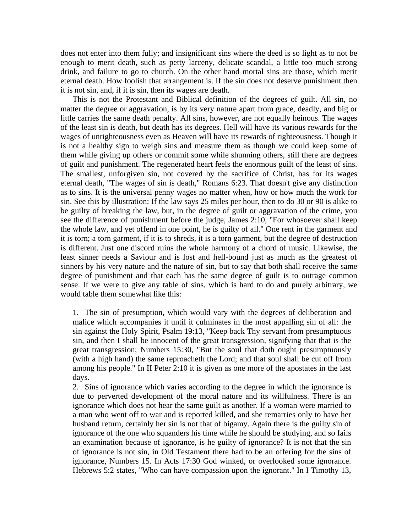does not enter into them fully; and insignificant sins where the deed is so light as to not be enough to merit death, such as petty larceny, delicate scandal, a little too much strong drink, and failure to go to church. On the other hand mortal sins are those, which merit eternal death. How foolish that arrangement is. If the sin does not deserve punishment then it is not sin, and, if it is sin, then its wages are death.

 This is not the Protestant and Biblical definition of the degrees of guilt. All sin, no matter the degree or aggravation, is by its very nature apart from grace, deadly, and big or little carries the same death penalty. All sins, however, are not equally heinous. The wages of the least sin is death, but death has its degrees. Hell will have its various rewards for the wages of unrighteousness even as Heaven will have its rewards of righteousness. Though it is not a healthy sign to weigh sins and measure them as though we could keep some of them while giving up others or commit some while shunning others, still there are degrees of guilt and punishment. The regenerated heart feels the enormous guilt of the least of sins. The smallest, unforgiven sin, not covered by the sacrifice of Christ, has for its wages eternal death, "The wages of sin is death," Romans 6:23. That doesn't give any distinction as to sins. It is the universal penny wages no matter when, how or how much the work for sin. See this by illustration: If the law says 25 miles per hour, then to do 30 or 90 is alike to be guilty of breaking the law, but, in the degree of guilt or aggravation of the crime, you see the difference of punishment before the judge, James 2:10, "For whosoever shall keep the whole law, and yet offend in one point, he is guilty of all." One rent in the garment and it is torn; a torn garment, if it is to shreds, it is a torn garment, but the degree of destruction is different. Just one discord ruins the whole harmony of a chord of music. Likewise, the least sinner needs a Saviour and is lost and hell-bound just as much as the greatest of sinners by his very nature and the nature of sin, but to say that both shall receive the same degree of punishment and that each has the same degree of guilt is to outrage common sense. If we were to give any table of sins, which is hard to do and purely arbitrary, we would table them somewhat like this:

1. The sin of presumption, which would vary with the degrees of deliberation and malice which accompanies it until it culminates in the most appalling sin of all: the sin against the Holy Spirit, Psalm 19:13, "Keep back Thy servant from presumptuous sin, and then I shall be innocent of the great transgression, signifying that that is the great transgression; Numbers 15:30, "But the soul that doth ought presumptuously (with a high hand) the same reproacheth the Lord; and that soul shall be cut off from among his people." In II Peter 2:10 it is given as one more of the apostates in the last days.

2. Sins of ignorance which varies according to the degree in which the ignorance is due to perverted development of the moral nature and its willfulness. There is an ignorance which does not hear the same guilt as another. If a woman were married to a man who went off to war and is reported killed, and she remarries only to have her husband return, certainly her sin is not that of bigamy. Again there is the guilty sin of ignorance of the one who squanders his time while he should be studying, and so fails an examination because of ignorance, is he guilty of ignorance? It is not that the sin of ignorance is not sin, in Old Testament there had to be an offering for the sins of ignorance, Numbers 15. In Acts 17:30 God winked, or overlooked some ignorance. Hebrews 5:2 states, "Who can have compassion upon the ignorant." In I Timothy 13,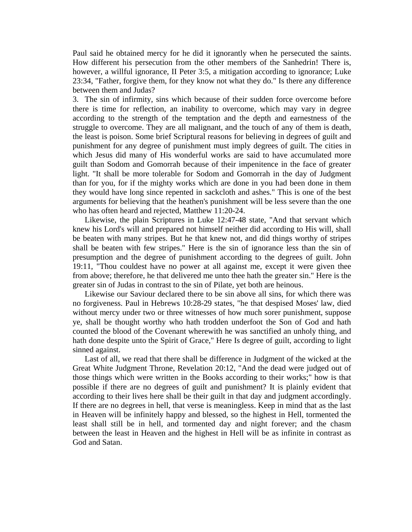Paul said he obtained mercy for he did it ignorantly when he persecuted the saints. How different his persecution from the other members of the Sanhedrin! There is, however, a willful ignorance, II Peter 3:5, a mitigation according to ignorance; Luke 23:34, "Father, forgive them, for they know not what they do." Is there any difference between them and Judas?

3. The sin of infirmity, sins which because of their sudden force overcome before there is time for reflection, an inability to overcome, which may vary in degree according to the strength of the temptation and the depth and earnestness of the struggle to overcome. They are all malignant, and the touch of any of them is death, the least is poison. Some brief Scriptural reasons for believing in degrees of guilt and punishment for any degree of punishment must imply degrees of guilt. The cities in which Jesus did many of His wonderful works are said to have accumulated more guilt than Sodom and Gomorrah because of their impenitence in the face of greater light. "It shall be more tolerable for Sodom and Gomorrah in the day of Judgment than for you, for if the mighty works which are done in you had been done in them they would have long since repented in sackcloth and ashes." This is one of the best arguments for believing that the heathen's punishment will be less severe than the one who has often heard and rejected, Matthew 11:20-24.

 Likewise, the plain Scriptures in Luke 12:47-48 state, "And that servant which knew his Lord's will and prepared not himself neither did according to His will, shall be beaten with many stripes. But he that knew not, and did things worthy of stripes shall be beaten with few stripes." Here is the sin of ignorance less than the sin of presumption and the degree of punishment according to the degrees of guilt. John 19:11, "Thou couldest have no power at all against me, except it were given thee from above; therefore, he that delivered me unto thee hath the greater sin." Here is the greater sin of Judas in contrast to the sin of Pilate, yet both are heinous.

 Likewise our Saviour declared there to be sin above all sins, for which there was no forgiveness. Paul in Hebrews 10:28-29 states, "he that despised Moses' law, died without mercy under two or three witnesses of how much sorer punishment, suppose ye, shall be thought worthy who hath trodden underfoot the Son of God and hath counted the blood of the Covenant wherewith he was sanctified an unholy thing, and hath done despite unto the Spirit of Grace," Here Is degree of guilt, according to light sinned against.

 Last of all, we read that there shall be difference in Judgment of the wicked at the Great White Judgment Throne, Revelation 20:12, "And the dead were judged out of those things which were written in the Books according to their works;" how is that possible if there are no degrees of guilt and punishment? It is plainly evident that according to their lives here shall be their guilt in that day and judgment accordingly. If there are no degrees in hell, that verse is meaningless. Keep in mind that as the last in Heaven will be infinitely happy and blessed, so the highest in Hell, tormented the least shall still be in hell, and tormented day and night forever; and the chasm between the least in Heaven and the highest in Hell will be as infinite in contrast as God and Satan.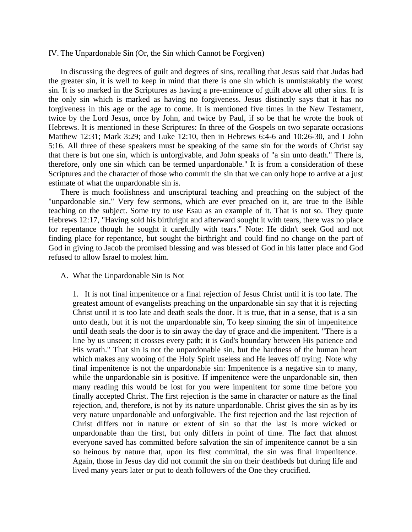### IV. The Unpardonable Sin (Or, the Sin which Cannot be Forgiven)

 In discussing the degrees of guilt and degrees of sins, recalling that Jesus said that Judas had the greater sin, it is well to keep in mind that there is one sin which is unmistakably the worst sin. It is so marked in the Scriptures as having a pre-eminence of guilt above all other sins. It is the only sin which is marked as having no forgiveness. Jesus distinctly says that it has no forgiveness in this age or the age to come. It is mentioned five times in the New Testament, twice by the Lord Jesus, once by John, and twice by Paul, if so be that he wrote the book of Hebrews. It is mentioned in these Scriptures: In three of the Gospels on two separate occasions Matthew 12:31; Mark 3:29; and Luke 12:10, then in Hebrews 6:4-6 and 10:26-30, and I John 5:16. All three of these speakers must be speaking of the same sin for the words of Christ say that there is but one sin, which is unforgivable, and John speaks of "a sin unto death." There is, therefore, only one sin which can be termed unpardonable." It is from a consideration of these Scriptures and the character of those who commit the sin that we can only hope to arrive at a just estimate of what the unpardonable sin is.

 There is much foolishness and unscriptural teaching and preaching on the subject of the "unpardonable sin." Very few sermons, which are ever preached on it, are true to the Bible teaching on the subject. Some try to use Esau as an example of it. That is not so. They quote Hebrews 12:17, "Having sold his birthright and afterward sought it with tears, there was no place for repentance though he sought it carefully with tears." Note: He didn't seek God and not finding place for repentance, but sought the birthright and could find no change on the part of God in giving to Jacob the promised blessing and was blessed of God in his latter place and God refused to allow Israel to molest him.

#### A. What the Unpardonable Sin is Not

1. It is not final impenitence or a final rejection of Jesus Christ until it is too late. The greatest amount of evangelists preaching on the unpardonable sin say that it is rejecting Christ until it is too late and death seals the door. It is true, that in a sense, that is a sin unto death, but it is not the unpardonable sin, To keep sinning the sin of impenitence until death seals the door is to sin away the day of grace and die impenitent. "There is a line by us unseen; it crosses every path; it is God's boundary between His patience and His wrath." That sin is not the unpardonable sin, but the hardness of the human heart which makes any wooing of the Holy Spirit useless and He leaves off trying. Note why final impenitence is not the unpardonable sin: Impenitence is a negative sin to many, while the unpardonable sin is positive. If impenitence were the unpardonable sin, then many reading this would be lost for you were impenitent for some time before you finally accepted Christ. The first rejection is the same in character or nature as the final rejection, and, therefore, is not by its nature unpardonable. Christ gives the sin as by its very nature unpardonable and unforgivable. The first rejection and the last rejection of Christ differs not in nature or extent of sin so that the last is more wicked or unpardonable than the first, but only differs in point of time. The fact that almost everyone saved has committed before salvation the sin of impenitence cannot be a sin so heinous by nature that, upon its first committal, the sin was final impenitence. Again, those in Jesus day did not commit the sin on their deathbeds but during life and lived many years later or put to death followers of the One they crucified.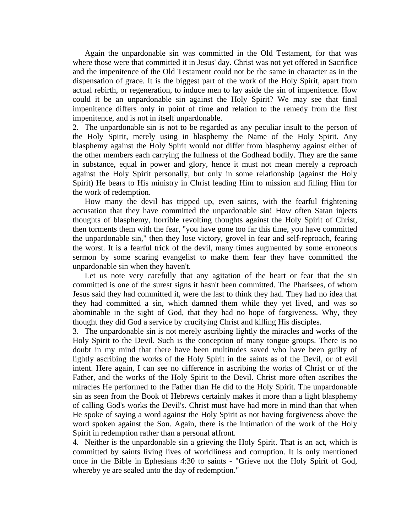Again the unpardonable sin was committed in the Old Testament, for that was where those were that committed it in Jesus' day. Christ was not yet offered in Sacrifice and the impenitence of the Old Testament could not be the same in character as in the dispensation of grace. It is the biggest part of the work of the Holy Spirit, apart from actual rebirth, or regeneration, to induce men to lay aside the sin of impenitence. How could it be an unpardonable sin against the Holy Spirit? We may see that final impenitence differs only in point of time and relation to the remedy from the first impenitence, and is not in itself unpardonable.

2. The unpardonable sin is not to be regarded as any peculiar insult to the person of the Holy Spirit, merely using in blasphemy the Name of the Holy Spirit. Any blasphemy against the Holy Spirit would not differ from blasphemy against either of the other members each carrying the fullness of the Godhead bodily. They are the same in substance, equal in power and glory, hence it must not mean merely a reproach against the Holy Spirit personally, but only in some relationship (against the Holy Spirit) He bears to His ministry in Christ leading Him to mission and filling Him for the work of redemption.

 How many the devil has tripped up, even saints, with the fearful frightening accusation that they have committed the unpardonable sin! How often Satan injects thoughts of blasphemy, horrible revolting thoughts against the Holy Spirit of Christ, then torments them with the fear, "you have gone too far this time, you have committed the unpardonable sin," then they lose victory, grovel in fear and self-reproach, fearing the worst. It is a fearful trick of the devil, many times augmented by some erroneous sermon by some scaring evangelist to make them fear they have committed the unpardonable sin when they haven't.

 Let us note very carefully that any agitation of the heart or fear that the sin committed is one of the surest signs it hasn't been committed. The Pharisees, of whom Jesus said they had committed it, were the last to think they had. They had no idea that they had committed a sin, which damned them while they yet lived, and was so abominable in the sight of God, that they had no hope of forgiveness. Why, they thought they did God a service by crucifying Christ and killing His disciples.

3. The unpardonable sin is not merely ascribing lightly the miracles and works of the Holy Spirit to the Devil. Such is the conception of many tongue groups. There is no doubt in my mind that there have been multitudes saved who have been guilty of lightly ascribing the works of the Holy Spirit in the saints as of the Devil, or of evil intent. Here again, I can see no difference in ascribing the works of Christ or of the Father, and the works of the Holy Spirit to the Devil. Christ more often ascribes the miracles He performed to the Father than He did to the Holy Spirit. The unpardonable sin as seen from the Book of Hebrews certainly makes it more than a light blasphemy of calling God's works the Devil's. Christ must have had more in mind than that when He spoke of saying a word against the Holy Spirit as not having forgiveness above the word spoken against the Son. Again, there is the intimation of the work of the Holy Spirit in redemption rather than a personal affront.

4. Neither is the unpardonable sin a grieving the Holy Spirit. That is an act, which is committed by saints living lives of worldliness and corruption. It is only mentioned once in the Bible in Ephesians 4:30 to saints - "Grieve not the Holy Spirit of God, whereby ye are sealed unto the day of redemption."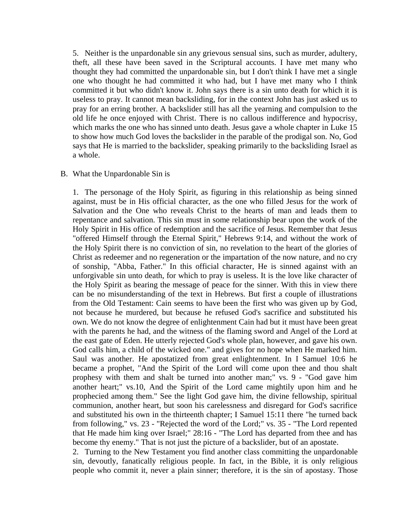5. Neither is the unpardonable sin any grievous sensual sins, such as murder, adultery, theft, all these have been saved in the Scriptural accounts. I have met many who thought they had committed the unpardonable sin, but I don't think I have met a single one who thought he had committed it who had, but I have met many who I think committed it but who didn't know it. John says there is a sin unto death for which it is useless to pray. It cannot mean backsliding, for in the context John has just asked us to pray for an erring brother. A backslider still has all the yearning and compulsion to the old life he once enjoyed with Christ. There is no callous indifference and hypocrisy, which marks the one who has sinned unto death. Jesus gave a whole chapter in Luke 15 to show how much God loves the backslider in the parable of the prodigal son. No, God says that He is married to the backslider, speaking primarily to the backsliding Israel as a whole.

## B. What the Unpardonable Sin is

1. The personage of the Holy Spirit, as figuring in this relationship as being sinned against, must be in His official character, as the one who filled Jesus for the work of Salvation and the One who reveals Christ to the hearts of man and leads them to repentance and salvation. This sin must in some relationship bear upon the work of the Holy Spirit in His office of redemption and the sacrifice of Jesus. Remember that Jesus "offered Himself through the Eternal Spirit," Hebrews 9:14, and without the work of the Holy Spirit there is no conviction of sin, no revelation to the heart of the glories of Christ as redeemer and no regeneration or the impartation of the now nature, and no cry of sonship, "Abba, Father." In this official character, He is sinned against with an unforgivable sin unto death, for which to pray is useless. It is the love like character of the Holy Spirit as bearing the message of peace for the sinner. With this in view there can be no misunderstanding of the text in Hebrews. But first a couple of illustrations from the Old Testament: Cain seems to have been the first who was given up by God, not because he murdered, but because he refused God's sacrifice and substituted his own. We do not know the degree of enlightenment Cain had but it must have been great with the parents he had, and the witness of the flaming sword and Angel of the Lord at the east gate of Eden. He utterly rejected God's whole plan, however, and gave his own. God calls him, a child of the wicked one." and gives for no hope when He marked him. Saul was another. He apostatized from great enlightenment. In I Samuel 10:6 he became a prophet, "And the Spirit of the Lord will come upon thee and thou shalt prophesy with them and shalt be turned into another man;" vs. 9 - "God gave him another heart;" vs.10, And the Spirit of the Lord came mightily upon him and he prophecied among them." See the light God gave him, the divine fellowship, spiritual communion, another heart, but soon his carelessness and disregard for God's sacrifice and substituted his own in the thirteenth chapter; I Samuel 15:11 there "he turned back from following," vs. 23 - "Rejected the word of the Lord;" vs. 35 - "The Lord repented that He made him king over Israel;" 28:16 - "The Lord has departed from thee and has become thy enemy." That is not just the picture of a backslider, but of an apostate.

2. Turning to the New Testament you find another class committing the unpardonable sin, devoutly, fanatically religious people. In fact, in the Bible, it is only religious people who commit it, never a plain sinner; therefore, it is the sin of apostasy. Those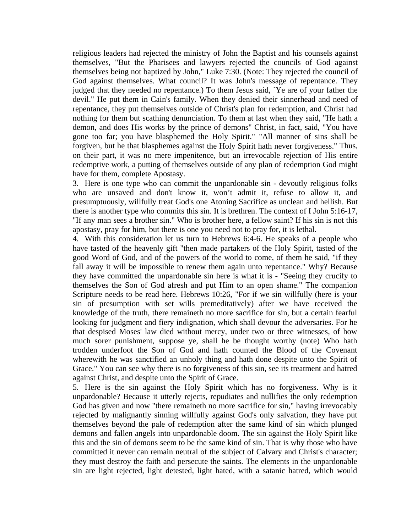religious leaders had rejected the ministry of John the Baptist and his counsels against themselves, "But the Pharisees and lawyers rejected the councils of God against themselves being not baptized by John," Luke 7:30. (Note: They rejected the council of God against themselves. What council? It was John's message of repentance. They judged that they needed no repentance.) To them Jesus said, `Ye are of your father the devil." He put them in Cain's family. When they denied their sinnerhead and need of repentance, they put themselves outside of Christ's plan for redemption, and Christ had nothing for them but scathing denunciation. To them at last when they said, "He hath a demon, and does His works by the prince of demons" Christ, in fact, said, "You have gone too far; you have blasphemed the Holy Spirit." "All manner of sins shall be forgiven, but he that blasphemes against the Holy Spirit hath never forgiveness." Thus, on their part, it was no mere impenitence, but an irrevocable rejection of His entire redemptive work, a putting of themselves outside of any plan of redemption God might have for them, complete Apostasy.

3. Here is one type who can commit the unpardonable sin - devoutly religious folks who are unsaved and don't know it, won't admit it, refuse to allow it, and presumptuously, willfully treat God's one Atoning Sacrifice as unclean and hellish. But there is another type who commits this sin. It is brethren. The context of I John 5:16-17, "If any man sees a brother sin." Who is brother here, a fellow saint? If his sin is not this apostasy, pray for him, but there is one you need not to pray for, it is lethal.

4. With this consideration let us turn to Hebrews 6:4-6. He speaks of a people who have tasted of the heavenly gift "then made partakers of the Holy Spirit, tasted of the good Word of God, and of the powers of the world to come, of them he said, "if they fall away it will be impossible to renew them again unto repentance." Why? Because they have committed the unpardonable sin here is what it is - "Seeing they crucify to themselves the Son of God afresh and put Him to an open shame." The companion Scripture needs to be read here. Hebrews 10:26, "For if we sin willfully (here is your sin of presumption with set wills premeditatively) after we have received the knowledge of the truth, there remaineth no more sacrifice for sin, but a certain fearful looking for judgment and fiery indignation, which shall devour the adversaries. For he that despised Moses' law died without mercy, under two or three witnesses, of how much sorer punishment, suppose ye, shall he be thought worthy (note) Who hath trodden underfoot the Son of God and hath counted the Blood of the Covenant wherewith he was sanctified an unholy thing and hath done despite unto the Spirit of Grace." You can see why there is no forgiveness of this sin, see its treatment and hatred against Christ, and despite unto the Spirit of Grace.

5. Here is the sin against the Holy Spirit which has no forgiveness. Why is it unpardonable? Because it utterly rejects, repudiates and nullifies the only redemption God has given and now "there remaineth no more sacrifice for sin," having irrevocably rejected by malignantly sinning willfully against God's only salvation, they have put themselves beyond the pale of redemption after the same kind of sin which plunged demons and fallen angels into unpardonable doom. The sin against the Holy Spirit like this and the sin of demons seem to be the same kind of sin. That is why those who have committed it never can remain neutral of the subject of Calvary and Christ's character; they must destroy the faith and persecute the saints. The elements in the unpardonable sin are light rejected, light detested, light hated, with a satanic hatred, which would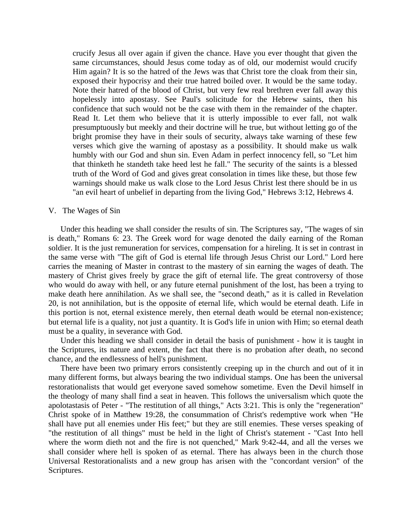crucify Jesus all over again if given the chance. Have you ever thought that given the same circumstances, should Jesus come today as of old, our modernist would crucify Him again? It is so the hatred of the Jews was that Christ tore the cloak from their sin, exposed their hypocrisy and their true hatred boiled over. It would be the same today. Note their hatred of the blood of Christ, but very few real brethren ever fall away this hopelessly into apostasy. See Paul's solicitude for the Hebrew saints, then his confidence that such would not be the case with them in the remainder of the chapter. Read It. Let them who believe that it is utterly impossible to ever fall, not walk presumptuously but meekly and their doctrine will he true, but without letting go of the bright promise they have in their souls of security, always take warning of these few verses which give the warning of apostasy as a possibility. It should make us walk humbly with our God and shun sin. Even Adam in perfect innocency fell, so "Let him that thinketh he standeth take heed lest he fall." The security of the saints is a blessed truth of the Word of God and gives great consolation in times like these, but those few warnings should make us walk close to the Lord Jesus Christ lest there should be in us "an evil heart of unbelief in departing from the living God," Hebrews 3:12, Hebrews 4.

### V. The Wages of Sin

 Under this heading we shall consider the results of sin. The Scriptures say, "The wages of sin is death," Romans 6: 23. The Greek word for wage denoted the daily earning of the Roman soldier. It is the just remuneration for services, compensation for a hireling. It is set in contrast in the same verse with "The gift of God is eternal life through Jesus Christ our Lord." Lord here carries the meaning of Master in contrast to the mastery of sin earning the wages of death. The mastery of Christ gives freely by grace the gift of eternal life. The great controversy of those who would do away with hell, or any future eternal punishment of the lost, has been a trying to make death here annihilation. As we shall see, the "second death," as it is called in Revelation 20, is not annihilation, but is the opposite of eternal life, which would be eternal death. Life in this portion is not, eternal existence merely, then eternal death would be eternal non-existence; but eternal life is a quality, not just a quantity. It is God's life in union with Him; so eternal death must be a quality, in severance with God.

 Under this heading we shall consider in detail the basis of punishment - how it is taught in the Scriptures, its nature and extent, the fact that there is no probation after death, no second chance, and the endlessness of hell's punishment.

 There have been two primary errors consistently creeping up in the church and out of it in many different forms, but always bearing the two individual stamps. One has been the universal restorationalists that would get everyone saved somehow sometime. Even the Devil himself in the theology of many shall find a seat in heaven. This follows the universalism which quote the apolotastasis of Peter - "The restitution of all things," Acts 3:21. This is only the "regeneration" Christ spoke of in Matthew 19:28, the consummation of Christ's redemptive work when "He shall have put all enemies under His feet;" but they are still enemies. These verses speaking of "the restitution of all things" must be held in the light of Christ's statement - "Cast Into hell where the worm dieth not and the fire is not quenched," Mark 9:42-44, and all the verses we shall consider where hell is spoken of as eternal. There has always been in the church those Universal Restorationalists and a new group has arisen with the "concordant version" of the Scriptures.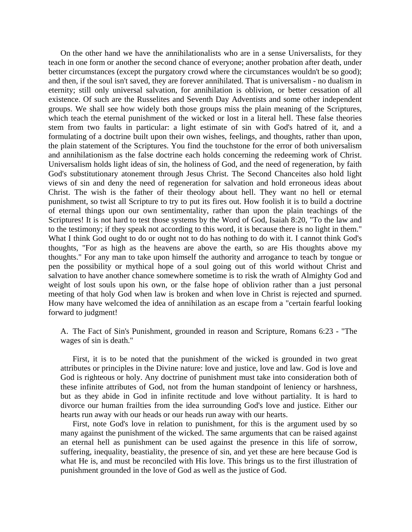On the other hand we have the annihilationalists who are in a sense Universalists, for they teach in one form or another the second chance of everyone; another probation after death, under better circumstances (except the purgatory crowd where the circumstances wouldn't be so good); and then, if the soul isn't saved, they are forever annihilated. That is universalism - no dualism in eternity; still only universal salvation, for annihilation is oblivion, or better cessation of all existence. Of such are the Russelites and Seventh Day Adventists and some other independent groups. We shall see how widely both those groups miss the plain meaning of the Scriptures, which teach the eternal punishment of the wicked or lost in a literal hell. These false theories stem from two faults in particular: a light estimate of sin with God's hatred of it, and a formulating of a doctrine built upon their own wishes, feelings, and thoughts, rather than upon, the plain statement of the Scriptures. You find the touchstone for the error of both universalism and annihilationism as the false doctrine each holds concerning the redeeming work of Christ. Universalism holds light ideas of sin, the holiness of God, and the need of regeneration, by faith God's substitutionary atonement through Jesus Christ. The Second Chanceites also hold light views of sin and deny the need of regeneration for salvation and hold erroneous ideas about Christ. The wish is the father of their theology about hell. They want no hell or eternal punishment, so twist all Scripture to try to put its fires out. How foolish it is to build a doctrine of eternal things upon our own sentimentality, rather than upon the plain teachings of the Scriptures! It is not hard to test those systems by the Word of God, Isaiah 8:20, "To the law and to the testimony; if they speak not according to this word, it is because there is no light in them." What I think God ought to do or ought not to do has nothing to do with it. I cannot think God's thoughts, "For as high as the heavens are above the earth, so are His thoughts above my thoughts." For any man to take upon himself the authority and arrogance to teach by tongue or pen the possibility or mythical hope of a soul going out of this world without Christ and salvation to have another chance somewhere sometime is to risk the wrath of Almighty God and weight of lost souls upon his own, or the false hope of oblivion rather than a just personal meeting of that holy God when law is broken and when love in Christ is rejected and spurned. How many have welcomed the idea of annihilation as an escape from a "certain fearful looking forward to judgment!

A. The Fact of Sin's Punishment, grounded in reason and Scripture, Romans 6:23 - "The wages of sin is death."

 First, it is to be noted that the punishment of the wicked is grounded in two great attributes or principles in the Divine nature: love and justice, love and law. God is love and God is righteous or holy. Any doctrine of punishment must take into consideration both of these infinite attributes of God, not from the human standpoint of leniency or harshness, but as they abide in God in infinite rectitude and love without partiality. It is hard to divorce our human frailties from the idea surrounding God's love and justice. Either our hearts run away with our heads or our heads run away with our hearts.

 First, note God's love in relation to punishment, for this is the argument used by so many against the punishment of the wicked. The same arguments that can be raised against an eternal hell as punishment can be used against the presence in this life of sorrow, suffering, inequality, beastiality, the presence of sin, and yet these are here because God is what He is, and must be reconciled with His love. This brings us to the first illustration of punishment grounded in the love of God as well as the justice of God.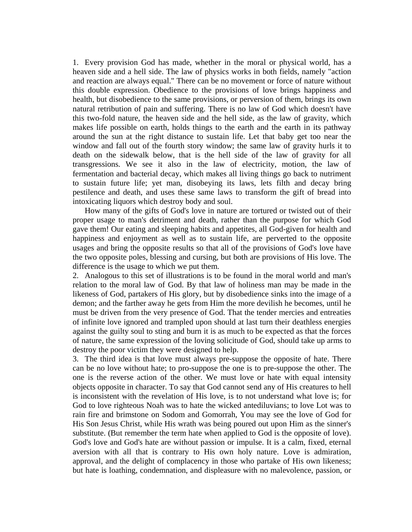1. Every provision God has made, whether in the moral or physical world, has a heaven side and a hell side. The law of physics works in both fields, namely "action and reaction are always equal." There can be no movement or force of nature without this double expression. Obedience to the provisions of love brings happiness and health, but disobedience to the same provisions, or perversion of them, brings its own natural retribution of pain and suffering. There is no law of God which doesn't have this two-fold nature, the heaven side and the hell side, as the law of gravity, which makes life possible on earth, holds things to the earth and the earth in its pathway around the sun at the right distance to sustain life. Let that baby get too near the window and fall out of the fourth story window; the same law of gravity hurls it to death on the sidewalk below, that is the hell side of the law of gravity for all transgressions. We see it also in the law of electricity, motion, the law of fermentation and bacterial decay, which makes all living things go back to nutriment to sustain future life; yet man, disobeying its laws, lets filth and decay bring pestilence and death, and uses these same laws to transform the gift of bread into intoxicating liquors which destroy body and soul.

 How many of the gifts of God's love in nature are tortured or twisted out of their proper usage to man's detriment and death, rather than the purpose for which God gave them! Our eating and sleeping habits and appetites, all God-given for health and happiness and enjoyment as well as to sustain life, are perverted to the opposite usages and bring the opposite results so that all of the provisions of God's love have the two opposite poles, blessing and cursing, but both are provisions of His love. The difference is the usage to which we put them.

2. Analogous to this set of illustrations is to be found in the moral world and man's relation to the moral law of God. By that law of holiness man may be made in the likeness of God, partakers of His glory, but by disobedience sinks into the image of a demon; and the farther away he gets from Him the more devilish he becomes, until he must be driven from the very presence of God. That the tender mercies and entreaties of infinite love ignored and trampled upon should at last turn their deathless energies against the guilty soul to sting and burn it is as much to be expected as that the forces of nature, the same expression of the loving solicitude of God, should take up arms to destroy the poor victim they were designed to help.

3. The third idea is that love must always pre-suppose the opposite of hate. There can be no love without hate; to pro-suppose the one is to pre-suppose the other. The one is the reverse action of the other. We must love or hate with equal intensity objects opposite in character. To say that God cannot send any of His creatures to hell is inconsistent with the revelation of His love, is to not understand what love is; for God to love righteous Noah was to hate the wicked antediluvians; to love Lot was to rain fire and brimstone on Sodom and Gomorrah, You may see the love of God for His Son Jesus Christ, while His wrath was being poured out upon Him as the sinner's substitute. (But remember the term hate when applied to God is the opposite of love). God's love and God's hate are without passion or impulse. It is a calm, fixed, eternal aversion with all that is contrary to His own holy nature. Love is admiration, approval, and the delight of complacency in those who partake of His own likeness; but hate is loathing, condemnation, and displeasure with no malevolence, passion, or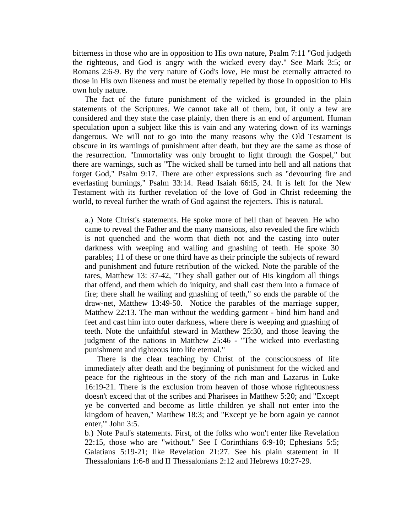bitterness in those who are in opposition to His own nature, Psalm 7:11 "God judgeth the righteous, and God is angry with the wicked every day." See Mark 3:5; or Romans 2:6-9. By the very nature of God's love, He must be eternally attracted to those in His own likeness and must be eternally repelled by those In opposition to His own holy nature.

 The fact of the future punishment of the wicked is grounded in the plain statements of the Scriptures. We cannot take all of them, but, if only a few are considered and they state the case plainly, then there is an end of argument. Human speculation upon a subject like this is vain and any watering down of its warnings dangerous. We will not to go into the many reasons why the Old Testament is obscure in its warnings of punishment after death, but they are the same as those of the resurrection. "Immortality was only brought to light through the Gospel," but there are warnings, such as "The wicked shall be turned into hell and all nations that forget God," Psalm 9:17. There are other expressions such as "devouring fire and everlasting burnings," Psalm 33:14. Read Isaiah 66:l5, 24. It is left for the New Testament with its further revelation of the love of God in Christ redeeming the world, to reveal further the wrath of God against the rejecters. This is natural.

a.) Note Christ's statements. He spoke more of hell than of heaven. He who came to reveal the Father and the many mansions, also revealed the fire which is not quenched and the worm that dieth not and the casting into outer darkness with weeping and wailing and gnashing of teeth. He spoke 30 parables; 11 of these or one third have as their principle the subjects of reward and punishment and future retribution of the wicked. Note the parable of the tares, Matthew 13: 37-42, "They shall gather out of His kingdom all things that offend, and them which do iniquity, and shall cast them into a furnace of fire; there shall he wailing and gnashing of teeth," so ends the parable of the draw-net, Matthew 13:49-50. Notice the parables of the marriage supper, Matthew 22:13. The man without the wedding garment - bind him hand and feet and cast him into outer darkness, where there is weeping and gnashing of teeth. Note the unfaithful steward in Matthew 25:30, and those leaving the judgment of the nations in Matthew 25:46 - "The wicked into everlasting punishment and righteous into life eternal."

 There is the clear teaching by Christ of the consciousness of life immediately after death and the beginning of punishment for the wicked and peace for the righteous in the story of the rich man and Lazarus in Luke 16:19-21. There is the exclusion from heaven of those whose righteousness doesn't exceed that of the scribes and Pharisees in Matthew 5:20; and "Except ye be converted and become as little children ye shall not enter into the kingdom of heaven," Matthew 18:3; and "Except ye be born again ye cannot enter,"' John 3:5.

b.) Note Paul's statements. First, of the folks who won't enter like Revelation 22:15, those who are "without." See I Corinthians 6:9-10; Ephesians 5:5; Galatians 5:19-21; like Revelation 21:27. See his plain statement in II Thessalonians 1:6-8 and II Thessalonians 2:12 and Hebrews 10:27-29.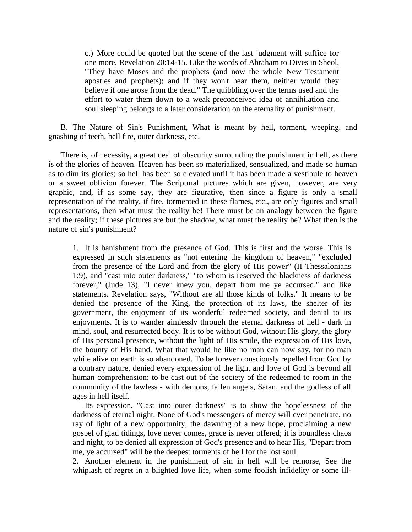c.) More could be quoted but the scene of the last judgment will suffice for one more, Revelation 20:14-15. Like the words of Abraham to Dives in Sheol, "They have Moses and the prophets (and now the whole New Testament apostles and prophets); and if they won't hear them, neither would they believe if one arose from the dead." The quibbling over the terms used and the effort to water them down to a weak preconceived idea of annihilation and soul sleeping belongs to a later consideration on the eternality of punishment.

 B. The Nature of Sin's Punishment, What is meant by hell, torment, weeping, and gnashing of teeth, hell fire, outer darkness, etc.

 There is, of necessity, a great deal of obscurity surrounding the punishment in hell, as there is of the glories of heaven. Heaven has been so materialized, sensualized, and made so human as to dim its glories; so hell has been so elevated until it has been made a vestibule to heaven or a sweet oblivion forever. The Scriptural pictures which are given, however, are very graphic, and, if as some say, they are figurative, then since a figure is only a small representation of the reality, if fire, tormented in these flames, etc., are only figures and small representations, then what must the reality be! There must be an analogy between the figure and the reality; if these pictures are but the shadow, what must the reality be? What then is the nature of sin's punishment?

1. It is banishment from the presence of God. This is first and the worse. This is expressed in such statements as "not entering the kingdom of heaven," "excluded from the presence of the Lord and from the glory of His power" (II Thessalonians 1:9), and "cast into outer darkness," "to whom is reserved the blackness of darkness forever," (Jude 13), "I never knew you, depart from me ye accursed," and like statements. Revelation says, "Without are all those kinds of folks." It means to be denied the presence of the King, the protection of its laws, the shelter of its government, the enjoyment of its wonderful redeemed society, and denial to its enjoyments. It is to wander aimlessly through the eternal darkness of hell - dark in mind, soul, and resurrected body. It is to be without God, without His glory, the glory of His personal presence, without the light of His smile, the expression of His love, the bounty of His hand. What that would he like no man can now say, for no man while alive on earth is so abandoned. To be forever consciously repelled from God by a contrary nature, denied every expression of the light and love of God is beyond all human comprehension; to be cast out of the society of the redeemed to room in the community of the lawless - with demons, fallen angels, Satan, and the godless of all ages in hell itself.

 Its expression, "Cast into outer darkness" is to show the hopelessness of the darkness of eternal night. None of God's messengers of mercy will ever penetrate, no ray of light of a new opportunity, the dawning of a new hope, proclaiming a new gospel of glad tidings, love never comes, grace is never offered; it is boundless chaos and night, to be denied all expression of God's presence and to hear His, "Depart from me, ye accursed" will be the deepest torments of hell for the lost soul.

2. Another element in the punishment of sin in hell will be remorse, See the whiplash of regret in a blighted love life, when some foolish infidelity or some ill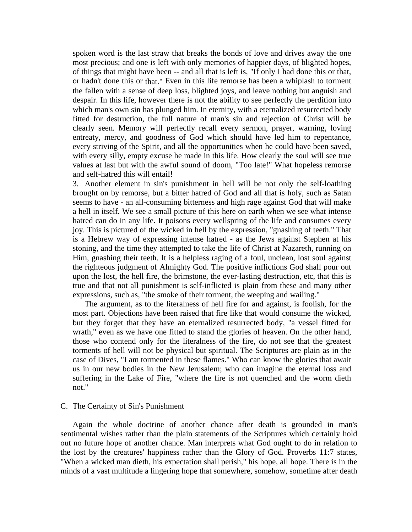spoken word is the last straw that breaks the bonds of love and drives away the one most precious; and one is left with only memories of happier days, of blighted hopes, of things that might have been -- and all that is left is, "If only I had done this or that, or hadn't done this or that." Even in this life remorse has been a whiplash to torment the fallen with a sense of deep loss, blighted joys, and leave nothing but anguish and despair. In this life, however there is not the ability to see perfectly the perdition into which man's own sin has plunged him. In eternity, with a eternalized resurrected body fitted for destruction, the full nature of man's sin and rejection of Christ will be clearly seen. Memory will perfectly recall every sermon, prayer, warning, loving entreaty, mercy, and goodness of God which should have led him to repentance, every striving of the Spirit, and all the opportunities when he could have been saved, with every silly, empty excuse he made in this life. How clearly the soul will see true values at last but with the awful sound of doom, "Too late!" What hopeless remorse and self-hatred this will entail!

3. Another element in sin's punishment in hell will be not only the self-loathing brought on by remorse, but a bitter hatred of God and all that is holy, such as Satan seems to have - an all-consuming bitterness and high rage against God that will make a hell in itself. We see a small picture of this here on earth when we see what intense hatred can do in any life. It poisons every wellspring of the life and consumes every joy. This is pictured of the wicked in hell by the expression, "gnashing of teeth." That is a Hebrew way of expressing intense hatred - as the Jews against Stephen at his stoning, and the time they attempted to take the life of Christ at Nazareth, running on Him, gnashing their teeth. It is a helpless raging of a foul, unclean, lost soul against the righteous judgment of Almighty God. The positive inflictions God shall pour out upon the lost, the hell fire, the brimstone, the ever-lasting destruction, etc, that this is true and that not all punishment is self-inflicted is plain from these and many other expressions, such as, "the smoke of their torment, the weeping and wailing."

 The argument, as to the literalness of hell fire for and against, is foolish, for the most part. Objections have been raised that fire like that would consume the wicked, but they forget that they have an eternalized resurrected body, "a vessel fitted for wrath," even as we have one fitted to stand the glories of heaven. On the other hand, those who contend only for the literalness of the fire, do not see that the greatest torments of hell will not be physical but spiritual. The Scriptures are plain as in the case of Dives, "I am tormented in these flames." Who can know the glories that await us in our new bodies in the New Jerusalem; who can imagine the eternal loss and suffering in the Lake of Fire, "where the fire is not quenched and the worm dieth not."

#### C. The Certainty of Sin's Punishment

 Again the whole doctrine of another chance after death is grounded in man's sentimental wishes rather than the plain statements of the Scriptures which certainly hold out no future hope of another chance. Man interprets what God ought to do in relation to the lost by the creatures' happiness rather than the Glory of God. Proverbs 11:7 states, "When a wicked man dieth, his expectation shall perish," his hope, all hope. There is in the minds of a vast multitude a lingering hope that somewhere, somehow, sometime after death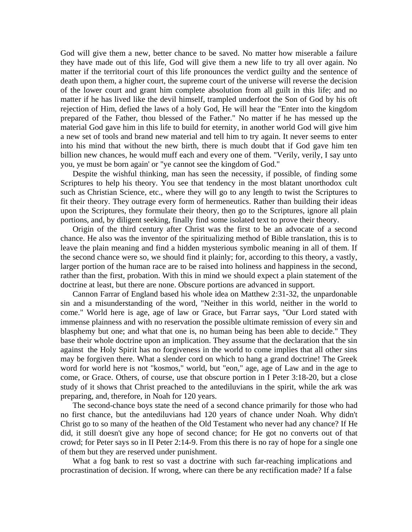God will give them a new, better chance to be saved. No matter how miserable a failure they have made out of this life, God will give them a new life to try all over again. No matter if the territorial court of this life pronounces the verdict guilty and the sentence of death upon them, a higher court, the supreme court of the universe will reverse the decision of the lower court and grant him complete absolution from all guilt in this life; and no matter if he has lived like the devil himself, trampled underfoot the Son of God by his oft rejection of Him, defied the laws of a holy God, He will hear the "Enter into the kingdom prepared of the Father, thou blessed of the Father." No matter if he has messed up the material God gave him in this life to build for eternity, in another world God will give him a new set of tools and brand new material and tell him to try again. It never seems to enter into his mind that without the new birth, there is much doubt that if God gave him ten billion new chances, he would muff each and every one of them. "Verily, verily, I say unto you, ye must be born again' or "ye cannot see the kingdom of God."

 Despite the wishful thinking, man has seen the necessity, if possible, of finding some Scriptures to help his theory. You see that tendency in the most blatant unorthodox cult such as Christian Science, etc., where they will go to any length to twist the Scriptures to fit their theory. They outrage every form of hermeneutics. Rather than building their ideas upon the Scriptures, they formulate their theory, then go to the Scriptures, ignore all plain portions, and, by diligent seeking, finally find some isolated text to prove their theory.

 Origin of the third century after Christ was the first to be an advocate of a second chance. He also was the inventor of the spiritualizing method of Bible translation, this is to leave the plain meaning and find a hidden mysterious symbolic meaning in all of them. If the second chance were so, we should find it plainly; for, according to this theory, a vastly, larger portion of the human race are to be raised into holiness and happiness in the second, rather than the first, probation. With this in mind we should expect a plain statement of the doctrine at least, but there are none. Obscure portions are advanced in support.

 Cannon Farrar of England based his whole idea on Matthew 2:31-32, the unpardonable sin and a misunderstanding of the word, "Neither in this world, neither in the world to come." World here is age, age of law or Grace, but Farrar says, "Our Lord stated with immense plainness and with no reservation the possible ultimate remission of every sin and blasphemy but one; and what that one is, no human being has been able to decide." They base their whole doctrine upon an implication. They assume that the declaration that the sin against the Holy Spirit has no forgiveness in the world to come implies that all other sins may be forgiven there. What a slender cord on which to hang a grand doctrine! The Greek word for world here is not "kosmos," world, but "eon," age, age of Law and in the age to come, or Grace. Others, of course, use that obscure portion in I Peter 3:18-20, but a close study of it shows that Christ preached to the antediluvians in the spirit, while the ark was preparing, and, therefore, in Noah for 120 years.

 The second-chance boys state the need of a second chance primarily for those who had no first chance, but the antediluvians had 120 years of chance under Noah. Why didn't Christ go to so many of the heathen of the Old Testament who never had any chance? If He did, it still doesn't give any hope of second chance; for He got no converts out of that crowd; for Peter says so in II Peter 2:14-9. From this there is no ray of hope for a single one of them but they are reserved under punishment.

 What a fog bank to rest so vast a doctrine with such far-reaching implications and procrastination of decision. If wrong, where can there be any rectification made? If a false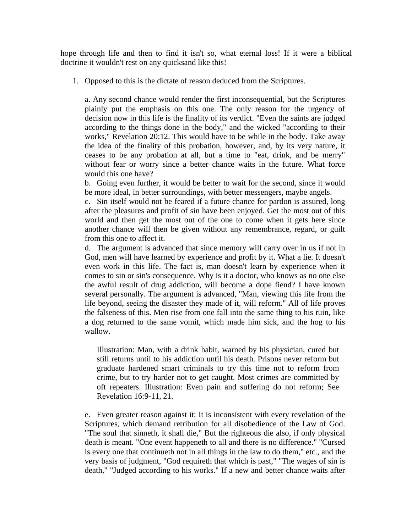hope through life and then to find it isn't so, what eternal loss! If it were a biblical doctrine it wouldn't rest on any quicksand like this!

1. Opposed to this is the dictate of reason deduced from the Scriptures.

a. Any second chance would render the first inconsequential, but the Scriptures plainly put the emphasis on this one. The only reason for the urgency of decision now in this life is the finality of its verdict. "Even the saints are judged according to the things done in the body," and the wicked "according to their works," Revelation 20:12. This would have to be while in the body. Take away the idea of the finality of this probation, however, and, by its very nature, it ceases to be any probation at all, but a time to "eat, drink, and be merry" without fear or worry since a better chance waits in the future. What force would this one have?

b. Going even further, it would be better to wait for the second, since it would be more ideal, in better surroundings, with better messengers, maybe angels.

c. Sin itself would not be feared if a future chance for pardon is assured, long after the pleasures and profit of sin have been enjoyed. Get the most out of this world and then get the most out of the one to come when it gets here since another chance will then be given without any remembrance, regard, or guilt from this one to affect it.

d. The argument is advanced that since memory will carry over in us if not in God, men will have learned by experience and profit by it. What a lie. It doesn't even work in this life. The fact is, man doesn't learn by experience when it comes to sin or sin's consequence. Why is it a doctor, who knows as no one else the awful result of drug addiction, will become a dope fiend? I have known several personally. The argument is advanced, "Man, viewing this life from the life beyond, seeing the disaster they made of it, will reform." All of life proves the falseness of this. Men rise from one fall into the same thing to his ruin, like a dog returned to the same vomit, which made him sick, and the hog to his wallow.

Illustration: Man, with a drink habit, warned by his physician, cured but still returns until to his addiction until his death. Prisons never reform but graduate hardened smart criminals to try this time not to reform from crime, but to try harder not to get caught. Most crimes are committed by oft repeaters. Illustration: Even pain and suffering do not reform; See Revelation 16:9-11, 21.

e. Even greater reason against it: It is inconsistent with every revelation of the Scriptures, which demand retribution for all disobedience of the Law of God. "The soul that sinneth, it shall die," But the righteous die also, if only physical death is meant. "One event happeneth to all and there is no difference." "Cursed is every one that continueth not in all things in the law to do them," etc., and the very basis of judgment, "God requireth that which is past," "The wages of sin is death," "Judged according to his works." If a new and better chance waits after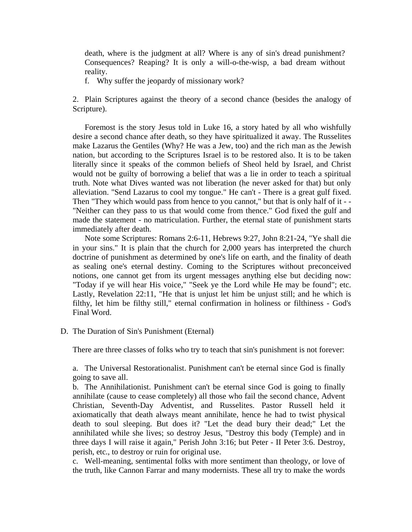death, where is the judgment at all? Where is any of sin's dread punishment? Consequences? Reaping? It is only a will-o-the-wisp, a bad dream without reality.

f. Why suffer the jeopardy of missionary work?

 2. Plain Scriptures against the theory of a second chance (besides the analogy of Scripture).

 Foremost is the story Jesus told in Luke 16, a story hated by all who wishfully desire a second chance after death, so they have spiritualized it away. The Russelites make Lazarus the Gentiles (Why? He was a Jew, too) and the rich man as the Jewish nation, but according to the Scriptures Israel is to be restored also. It is to be taken literally since it speaks of the common beliefs of Sheol held by Israel, and Christ would not be guilty of borrowing a belief that was a lie in order to teach a spiritual truth. Note what Dives wanted was not liberation (he never asked for that) but only alleviation. "Send Lazarus to cool my tongue." He can't - There is a great gulf fixed. Then "They which would pass from hence to you cannot," but that is only half of it - - "Neither can they pass to us that would come from thence." God fixed the gulf and made the statement - no matriculation. Further, the eternal state of punishment starts immediately after death.

 Note some Scriptures: Romans 2:6-11, Hebrews 9:27, John 8:21-24, "Ye shall die in your sins." It is plain that the church for 2,000 years has interpreted the church doctrine of punishment as determined by one's life on earth, and the finality of death as sealing one's eternal destiny. Coming to the Scriptures without preconceived notions, one cannot get from its urgent messages anything else but deciding now: "Today if ye will hear His voice," "Seek ye the Lord while He may be found"; etc. Lastly, Revelation 22:11, "He that is unjust let him be unjust still; and he which is filthy, let him be filthy still," eternal confirmation in holiness or filthiness - God's Final Word.

#### D. The Duration of Sin's Punishment (Eternal)

There are three classes of folks who try to teach that sin's punishment is not forever:

a. The Universal Restorationalist. Punishment can't be eternal since God is finally going to save all.

b. The Annihilationist. Punishment can't be eternal since God is going to finally annihilate (cause to cease completely) all those who fail the second chance, Advent Christian, Seventh-Day Adventist, and Russelites. Pastor Russell held it axiomatically that death always meant annihilate, hence he had to twist physical death to soul sleeping. But does it? "Let the dead bury their dead;" Let the annihilated while she lives; so destroy Jesus, "Destroy this body (Temple) and in three days I will raise it again," Perish John 3:16; but Peter - II Peter 3:6. Destroy, perish, etc., to destroy or ruin for original use.

c. Well-meaning, sentimental folks with more sentiment than theology, or love of the truth, like Cannon Farrar and many modernists. These all try to make the words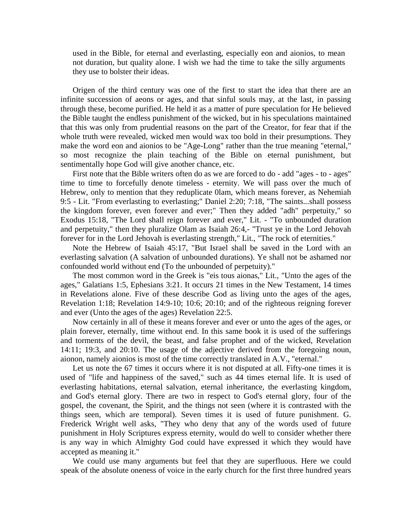used in the Bible, for eternal and everlasting, especially eon and aionios, to mean not duration, but quality alone. I wish we had the time to take the silly arguments they use to bolster their ideas.

 Origen of the third century was one of the first to start the idea that there are an infinite succession of aeons or ages, and that sinful souls may, at the last, in passing through these, become purified. He held it as a matter of pure speculation for He believed the Bible taught the endless punishment of the wicked, but in his speculations maintained that this was only from prudential reasons on the part of the Creator, for fear that if the whole truth were revealed, wicked men would wax too bold in their presumptions. They make the word eon and aionios to be "Age-Long" rather than the true meaning "eternal," so most recognize the plain teaching of the Bible on eternal punishment, but sentimentally hope God will give another chance, etc.

 First note that the Bible writers often do as we are forced to do - add "ages - to - ages" time to time to forcefully denote timeless - eternity. We will pass over the much of Hebrew, only to mention that they reduplicate 0lam, which means forever, as Nehemiah 9:5 - Lit. "From everlasting to everlasting;" Daniel 2:20; 7:18, "The saints...shall possess the kingdom forever, even forever and ever;" Then they added "adh" perpetuity," so Exodus 15:18, "The Lord shall reign forever and ever," Lit. - "To unbounded duration and perpetuity," then they pluralize Olam as Isaiah 26:4,- "Trust ye in the Lord Jehovah forever for in the Lord Jehovah is everlasting strength," Lit., "The rock of eternities."

 Note the Hebrew of Isaiah 45:17, "But Israel shall be saved in the Lord with an everlasting salvation (A salvation of unbounded durations). Ye shall not be ashamed nor confounded world without end (To the unbounded of perpetuity)."

 The most common word in the Greek is "eis tous aionas," Lit., "Unto the ages of the ages," Galatians 1:5, Ephesians 3:21. It occurs 21 times in the New Testament, 14 times in Revelations alone. Five of these describe God as living unto the ages of the ages, Revelation 1:18; Revelation 14:9-10; 10:6; 20:10; and of the righteous reigning forever and ever (Unto the ages of the ages) Revelation 22:5.

 Now certainly in all of these it means forever and ever or unto the ages of the ages, or plain forever, eternally, time without end. In this same book it is used of the sufferings and torments of the devil, the beast, and false prophet and of the wicked, Revelation 14:11; 19:3, and 20:10. The usage of the adjective derived from the foregoing noun, aionon, namely aionios is most of the time correctly translated in A.V., "eternal."

 Let us note the 67 times it occurs where it is not disputed at all. Fifty-one times it is used of "life and happiness of the saved," such as 44 times eternal life. It is used of everlasting habitations, eternal salvation, eternal inheritance, the everlasting kingdom, and God's eternal glory. There are two in respect to God's eternal glory, four of the gospel, the covenant, the Spirit, and the things not seen (where it is contrasted with the things seen, which are temporal). Seven times it is used of future punishment. G. Frederick Wright well asks, "They who deny that any of the words used of future punishment in Holy Scriptures express eternity, would do well to consider whether there is any way in which Almighty God could have expressed it which they would have accepted as meaning it."

 We could use many arguments but feel that they are superfluous. Here we could speak of the absolute oneness of voice in the early church for the first three hundred years